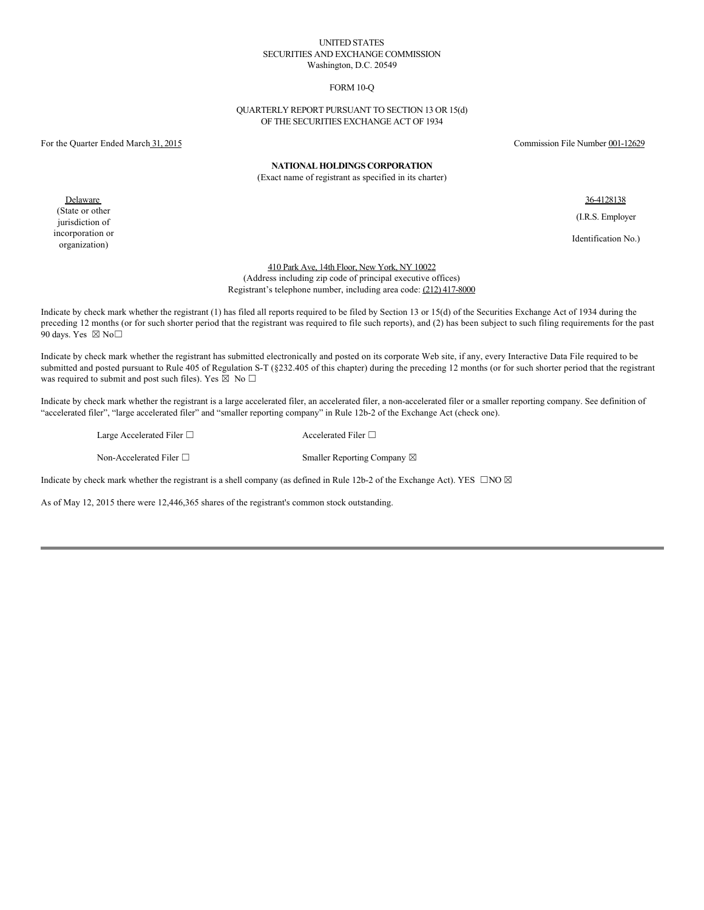#### UNITED STATES SECURITIES AND EXCHANGE COMMISSION Washington, D.C. 20549

### FORM 10-Q

# QUARTERLY REPORT PURSUANT TO SECTION 13 OR 15(d) OF THE SECURITIES EXCHANGE ACT OF 1934

For the Quarter Ended March 31, 2015 Commission File Number 001-12629

### **NATIONAL HOLDINGS CORPORATION**

(Exact name of registrant as specified in its charter)

Delaware 36-4128138 (State or other jurisdiction of (I.R.S. Employer incorporation or organization) Identification No.)

### 410 Park Ave, 14th Floor, New York, NY 10022 (Address including zip code of principal executive offices) Registrant's telephone number, including area code: (212) 417-8000

Indicate by check mark whether the registrant (1) has filed all reports required to be filed by Section 13 or 15(d) of the Securities Exchange Act of 1934 during the preceding 12 months (or for such shorter period that the registrant was required to file such reports), and (2) has been subject to such filing requirements for the past 90 days. Yes  $\boxtimes$  No $\square$ 

Indicate by check mark whether the registrant has submitted electronically and posted on its corporate Web site, if any, every Interactive Data File required to be submitted and posted pursuant to Rule 405 of Regulation S-T (§232.405 of this chapter) during the preceding 12 months (or for such shorter period that the registrant was required to submit and post such files). Yes  $\boxtimes$  No  $\Box$ 

Indicate by check mark whether the registrant is a large accelerated filer, an accelerated filer, a non-accelerated filer or a smaller reporting company. See definition of "accelerated filer", "large accelerated filer" and "smaller reporting company" in Rule 12b-2 of the Exchange Act (check one).

Large Accelerated Filer □ Accelerated Filer □

Non-Accelerated Filer □ Smaller Reporting Company ⊠

Indicate by check mark whether the registrant is a shell company (as defined in Rule 12b-2 of the Exchange Act). YES □NO ⊠

As of May 12, 2015 there were 12,446,365 shares of the registrant's common stock outstanding.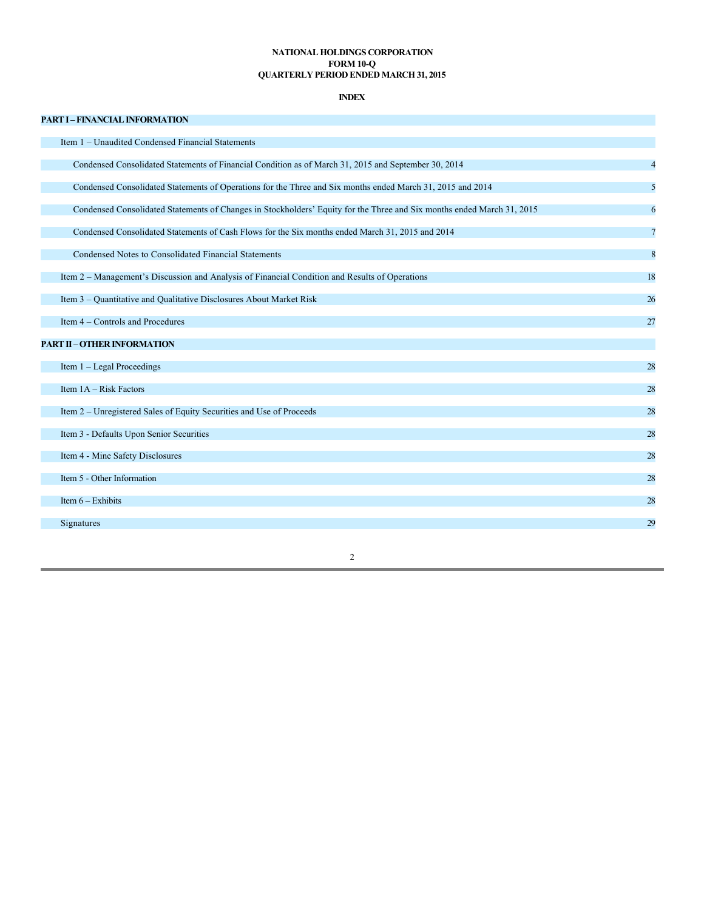# **NATIONAL HOLDINGS CORPORATION FORM 10-Q QUARTERLY PERIOD ENDED MARCH 31, 2015**

# **INDEX**

#### **PART I – FINANCIAL INFORMATION**

| Item 1 – Unaudited Condensed Financial Statements                                                                      |                |
|------------------------------------------------------------------------------------------------------------------------|----------------|
| Condensed Consolidated Statements of Financial Condition as of March 31, 2015 and September 30, 2014                   | $\overline{4}$ |
| Condensed Consolidated Statements of Operations for the Three and Six months ended March 31, 2015 and 2014             | 5              |
| Condensed Consolidated Statements of Changes in Stockholders' Equity for the Three and Six months ended March 31, 2015 | 6              |
| Condensed Consolidated Statements of Cash Flows for the Six months ended March 31, 2015 and 2014                       | $\overline{7}$ |
| Condensed Notes to Consolidated Financial Statements                                                                   | 8              |
| Item 2 – Management's Discussion and Analysis of Financial Condition and Results of Operations                         | 18             |
| Item 3 – Quantitative and Qualitative Disclosures About Market Risk                                                    | 26             |
| Item 4 – Controls and Procedures                                                                                       | 27             |
| <b>PART II - OTHER INFORMATION</b>                                                                                     |                |
| Item $1 -$ Legal Proceedings                                                                                           | 28             |
| Item $1A - Risk Factors$                                                                                               | 28             |
| Item 2 – Unregistered Sales of Equity Securities and Use of Proceeds                                                   | 28             |
| Item 3 - Defaults Upon Senior Securities                                                                               | 28             |
| Item 4 - Mine Safety Disclosures                                                                                       | 28             |
| Item 5 - Other Information                                                                                             | 28             |
| Item $6 -$ Exhibits                                                                                                    | 28             |
| Signatures                                                                                                             | 29             |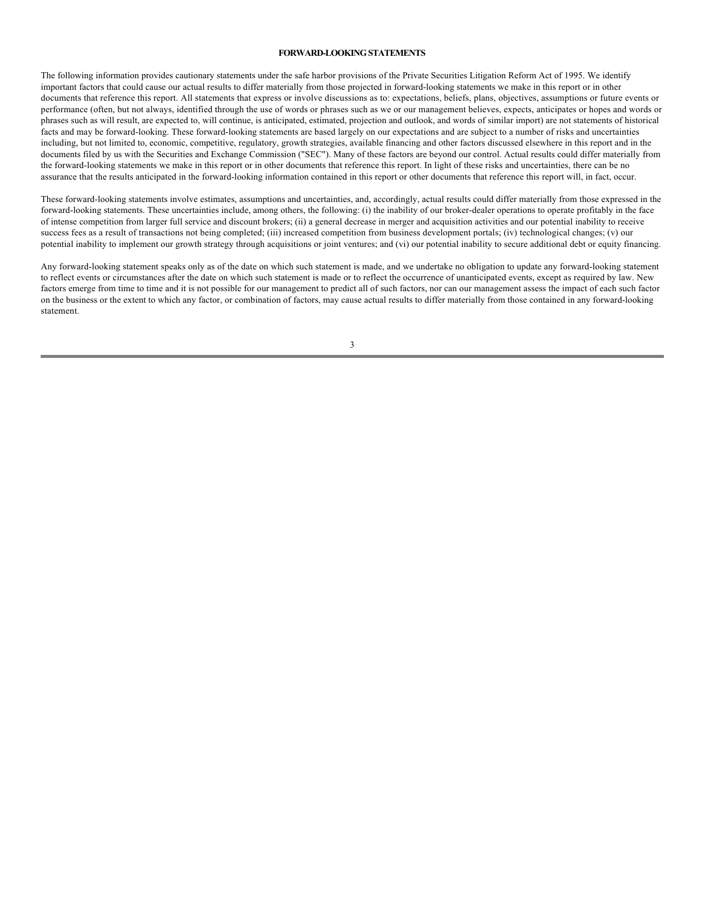### **FORWARD-LOOKING STATEMENTS**

The following information provides cautionary statements under the safe harbor provisions of the Private Securities Litigation Reform Act of 1995. We identify important factors that could cause our actual results to differ materially from those projected in forward-looking statements we make in this report or in other documents that reference this report. All statements that express or involve discussions as to: expectations, beliefs, plans, objectives, assumptions or future events or performance (often, but not always, identified through the use of words or phrases such as we or our management believes, expects, anticipates or hopes and words or phrases such as will result, are expected to, will continue, is anticipated, estimated, projection and outlook, and words of similar import) are not statements of historical facts and may be forward-looking. These forward-looking statements are based largely on our expectations and are subject to a number of risks and uncertainties including, but not limited to, economic, competitive, regulatory, growth strategies, available financing and other factors discussed elsewhere in this report and in the documents filed by us with the Securities and Exchange Commission ("SEC"). Many of these factors are beyond our control. Actual results could differ materially from the forward-looking statements we make in this report or in other documents that reference this report. In light of these risks and uncertainties, there can be no assurance that the results anticipated in the forward-looking information contained in this report or other documents that reference this report will, in fact, occur.

These forward-looking statements involve estimates, assumptions and uncertainties, and, accordingly, actual results could differ materially from those expressed in the forward-looking statements. These uncertainties include, among others, the following: (i) the inability of our broker-dealer operations to operate profitably in the face of intense competition from larger full service and discount brokers; (ii) a general decrease in merger and acquisition activities and our potential inability to receive success fees as a result of transactions not being completed; (iii) increased competition from business development portals; (iv) technological changes; (v) our potential inability to implement our growth strategy through acquisitions or joint ventures; and (vi) our potential inability to secure additional debt or equity financing.

Any forward-looking statement speaks only as of the date on which such statement is made, and we undertake no obligation to update any forward-looking statement to reflect events or circumstances after the date on which such statement is made or to reflect the occurrence of unanticipated events, except as required by law. New factors emerge from time to time and it is not possible for our management to predict all of such factors, nor can our management assess the impact of each such factor on the business or the extent to which any factor, or combination of factors, may cause actual results to differ materially from those contained in any forward-looking statement.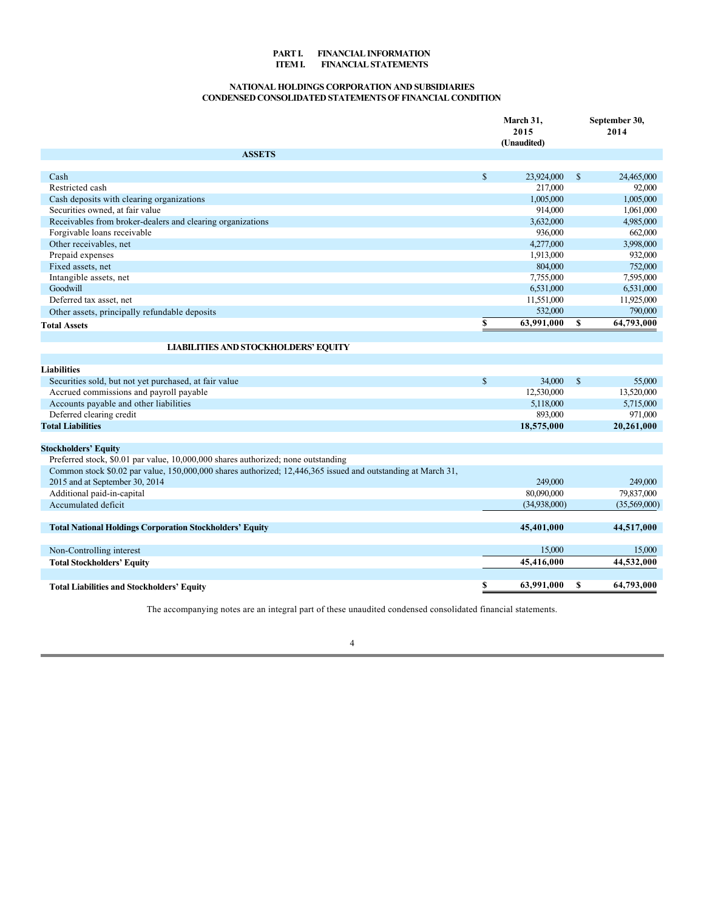# **PART I. FINANCIAL INFORMATION ITEM I. FINANCIAL STATEMENTS**

# **NATIONAL HOLDINGS CORPORATION AND SUBSIDIARIES CONDENSED CONSOLIDATED STATEMENTS OF FINANCIAL CONDITION**

|                                                                                                              |              | March 31,<br>2015<br>(Unaudited) |               | September 30,<br>2014 |
|--------------------------------------------------------------------------------------------------------------|--------------|----------------------------------|---------------|-----------------------|
| <b>ASSETS</b>                                                                                                |              |                                  |               |                       |
|                                                                                                              |              |                                  |               |                       |
| Cash                                                                                                         | \$           | 23,924,000                       | <sup>\$</sup> | 24,465,000            |
| Restricted cash                                                                                              |              | 217,000                          |               | 92,000                |
| Cash deposits with clearing organizations                                                                    |              | 1,005,000                        |               | 1,005,000             |
| Securities owned, at fair value                                                                              |              | 914,000                          |               | 1,061,000             |
| Receivables from broker-dealers and clearing organizations                                                   |              | 3,632,000                        |               | 4,985,000             |
| Forgivable loans receivable                                                                                  |              | 936,000                          |               | 662,000               |
| Other receivables, net                                                                                       |              | 4,277,000                        |               | 3,998,000             |
| Prepaid expenses                                                                                             |              | 1,913,000                        |               | 932,000               |
| Fixed assets, net                                                                                            |              | 804,000                          |               | 752,000               |
| Intangible assets, net                                                                                       |              | 7,755,000                        |               | 7,595,000             |
| Goodwill                                                                                                     |              | 6,531,000                        |               | 6,531,000             |
| Deferred tax asset, net                                                                                      |              | 11,551,000                       |               | 11,925,000            |
| Other assets, principally refundable deposits                                                                |              | 532,000                          |               | 790,000               |
| <b>Total Assets</b>                                                                                          | \$           | 63,991,000                       | S             | 64,793,000            |
|                                                                                                              |              |                                  |               |                       |
| <b>LIABILITIES AND STOCKHOLDERS' EQUITY</b>                                                                  |              |                                  |               |                       |
|                                                                                                              |              |                                  |               |                       |
| <b>Liabilities</b>                                                                                           |              |                                  |               |                       |
| Securities sold, but not yet purchased, at fair value                                                        | $\mathbb{S}$ | 34,000                           | $\mathbf S$   | 55,000                |
| Accrued commissions and payroll payable                                                                      |              | 12,530,000                       |               | 13,520,000            |
| Accounts payable and other liabilities                                                                       |              | 5,118,000                        |               | 5,715,000             |
| Deferred clearing credit                                                                                     |              | 893,000                          |               | 971,000               |
| <b>Total Liabilities</b>                                                                                     |              | 18,575,000                       |               | 20,261,000            |
|                                                                                                              |              |                                  |               |                       |
| <b>Stockholders' Equity</b>                                                                                  |              |                                  |               |                       |
| Preferred stock, \$0.01 par value, 10,000,000 shares authorized; none outstanding                            |              |                                  |               |                       |
| Common stock \$0.02 par value, 150,000,000 shares authorized; 12,446,365 issued and outstanding at March 31, |              |                                  |               |                       |
| 2015 and at September 30, 2014                                                                               |              | 249,000                          |               | 249,000               |
| Additional paid-in-capital                                                                                   |              | 80,090,000                       |               | 79,837,000            |
| Accumulated deficit                                                                                          |              | (34.938,000)                     |               | (35,569,000)          |
|                                                                                                              |              |                                  |               |                       |
| <b>Total National Holdings Corporation Stockholders' Equity</b>                                              |              | 45,401,000                       |               | 44,517,000            |
|                                                                                                              |              |                                  |               |                       |
| Non-Controlling interest                                                                                     |              | 15,000                           |               | 15,000                |
| <b>Total Stockholders' Equity</b>                                                                            |              | 45,416,000                       |               | 44,532,000            |
|                                                                                                              |              |                                  |               |                       |
| <b>Total Liabilities and Stockholders' Equity</b>                                                            | S            | 63,991,000                       | S             | 64,793,000            |

The accompanying notes are an integral part of these unaudited condensed consolidated financial statements.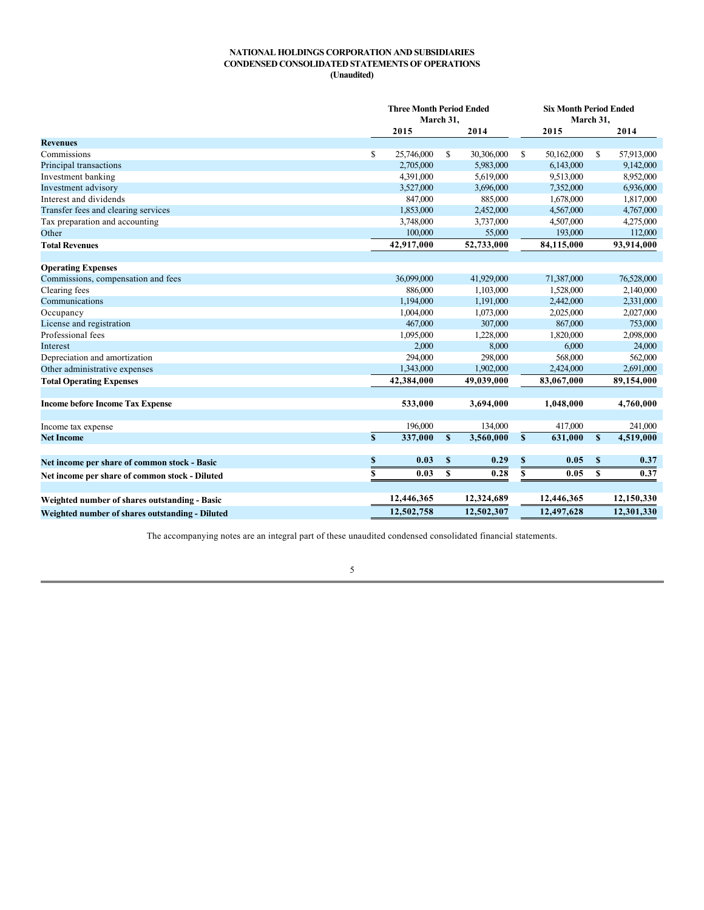# **NATIONAL HOLDINGS CORPORATION AND SUBSIDIARIES CONDENSED CONSOLIDATED STATEMENTS OF OPERATIONS (Unaudited)**

|                                                 |               | <b>Three Month Period Ended</b><br>March 31, |    |            |              | <b>Six Month Period Ended</b><br>March 31, |              |            |  |
|-------------------------------------------------|---------------|----------------------------------------------|----|------------|--------------|--------------------------------------------|--------------|------------|--|
|                                                 |               | 2015                                         |    | 2014       |              | 2015                                       |              | 2014       |  |
| <b>Revenues</b>                                 |               |                                              |    |            |              |                                            |              |            |  |
| Commissions                                     | \$            | 25,746,000                                   | \$ | 30,306,000 | \$           | 50,162,000                                 | \$           | 57,913,000 |  |
| Principal transactions                          |               | 2,705,000                                    |    | 5,983,000  |              | 6,143,000                                  |              | 9,142,000  |  |
| Investment banking                              |               | 4,391,000                                    |    | 5,619,000  |              | 9,513,000                                  |              | 8,952,000  |  |
| Investment advisory                             |               | 3,527,000                                    |    | 3,696,000  |              | 7,352,000                                  |              | 6,936,000  |  |
| Interest and dividends                          |               | 847,000                                      |    | 885,000    |              | 1,678,000                                  |              | 1,817,000  |  |
| Transfer fees and clearing services             |               | 1,853,000                                    |    | 2,452,000  |              | 4,567,000                                  |              | 4,767,000  |  |
| Tax preparation and accounting                  |               | 3,748,000                                    |    | 3,737,000  |              | 4,507,000                                  |              | 4,275,000  |  |
| Other                                           |               | 100,000                                      |    | 55,000     |              | 193,000                                    |              | 112,000    |  |
| <b>Total Revenues</b>                           |               | 42,917,000                                   |    | 52,733,000 |              | 84,115,000                                 |              | 93,914,000 |  |
|                                                 |               |                                              |    |            |              |                                            |              |            |  |
| <b>Operating Expenses</b>                       |               | 36,099,000                                   |    | 41,929,000 |              | 71,387,000                                 |              | 76,528,000 |  |
| Commissions, compensation and fees              |               | 886,000                                      |    | 1,103,000  |              | 1,528,000                                  |              | 2,140,000  |  |
| Clearing fees<br>Communications                 |               | 1,194,000                                    |    | 1,191,000  |              | 2,442,000                                  |              | 2,331,000  |  |
| Occupancy                                       |               | 1,004,000                                    |    | 1,073,000  |              | 2,025,000                                  |              | 2,027,000  |  |
| License and registration                        |               | 467,000                                      |    | 307,000    |              | 867,000                                    |              | 753,000    |  |
| Professional fees                               |               | 1,095,000                                    |    | 1,228,000  |              | 1,820,000                                  |              | 2,098,000  |  |
| Interest                                        |               | 2,000                                        |    | 8,000      |              | 6,000                                      |              | 24,000     |  |
| Depreciation and amortization                   |               | 294,000                                      |    | 298,000    |              | 568,000                                    |              | 562,000    |  |
| Other administrative expenses                   |               | 1,343,000                                    |    | 1,902,000  |              | 2,424,000                                  |              | 2,691,000  |  |
|                                                 |               | 42,384,000                                   |    | 49,039,000 |              | 83,067,000                                 |              | 89,154,000 |  |
| <b>Total Operating Expenses</b>                 |               |                                              |    |            |              |                                            |              |            |  |
| <b>Income before Income Tax Expense</b>         |               | 533,000                                      |    | 3,694,000  |              | 1,048,000                                  |              | 4,760,000  |  |
|                                                 |               |                                              |    |            |              |                                            |              |            |  |
| Income tax expense                              |               | 196,000                                      |    | 134,000    |              | 417,000                                    |              | 241,000    |  |
| <b>Net Income</b>                               | \$            | 337,000                                      | S  | 3,560,000  | $\mathbf{s}$ | 631,000                                    | $\mathbf{s}$ | 4,519,000  |  |
| Net income per share of common stock - Basic    | $\frac{1}{2}$ | 0.03                                         | \$ | 0.29       | \$           | 0.05                                       | \$           | 0.37       |  |
|                                                 | \$            | 0.03                                         | S  | 0.28       | \$           | 0.05                                       | \$           | 0.37       |  |
| Net income per share of common stock - Diluted  |               |                                              |    |            |              |                                            |              |            |  |
| Weighted number of shares outstanding - Basic   |               | 12,446,365                                   |    | 12,324,689 |              | 12,446,365                                 |              | 12,150,330 |  |
| Weighted number of shares outstanding - Diluted |               | 12,502,758                                   |    | 12,502,307 |              | 12,497,628                                 |              | 12,301,330 |  |

The accompanying notes are an integral part of these unaudited condensed consolidated financial statements.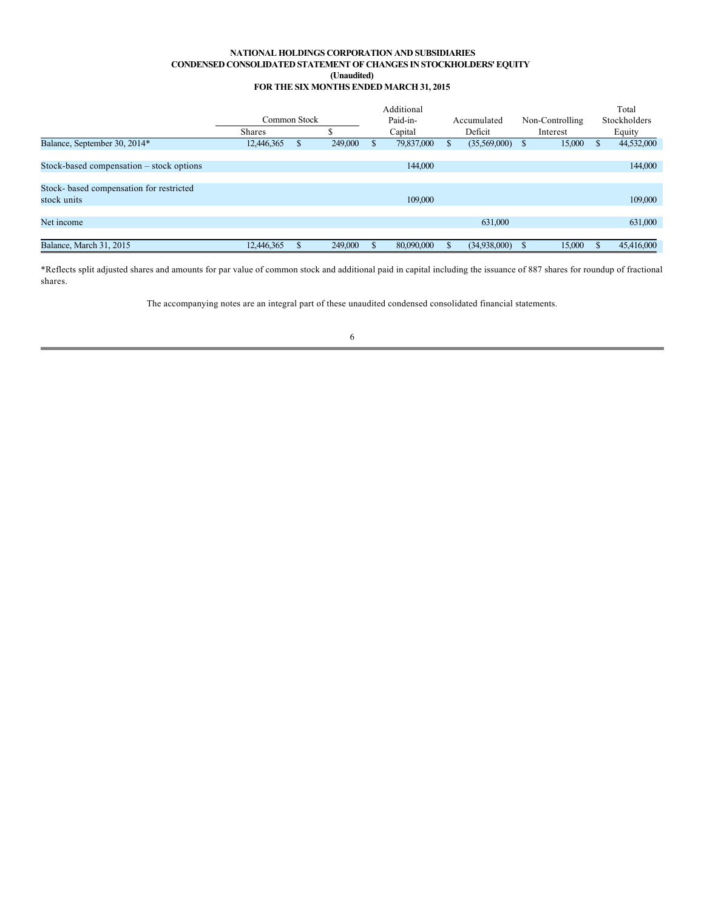# **NATIONAL HOLDINGS CORPORATION AND SUBSIDIARIES CONDENSED CONSOLIDATED STATEMENT OF CHANGES IN STOCKHOLDERS' EQUITY (Unaudited) FOR THE SIX MONTHS ENDED MARCH 31, 2015**

|                                          | Common Stock  |         |         | Additional<br>Paid-in- |         | Accumulated  |          | Non-Controlling | Total<br>Stockholders |
|------------------------------------------|---------------|---------|---------|------------------------|---------|--------------|----------|-----------------|-----------------------|
|                                          | <b>Shares</b> |         | Capital |                        | Deficit |              | Interest |                 | Equity                |
| Balance, September 30, 2014*             | 12,446,365    | 249,000 |         | 79,837,000             |         | (35,569,000) | S        | 15,000          | 44,532,000            |
|                                          |               |         |         |                        |         |              |          |                 |                       |
| Stock-based compensation – stock options |               |         |         | 144,000                |         |              |          |                 | 144,000               |
|                                          |               |         |         |                        |         |              |          |                 |                       |
| Stock- based compensation for restricted |               |         |         |                        |         |              |          |                 |                       |
| stock units                              |               |         |         | 109,000                |         |              |          |                 | 109,000               |
|                                          |               |         |         |                        |         |              |          |                 |                       |
| Net income                               |               |         |         |                        |         | 631,000      |          |                 | 631,000               |
|                                          |               |         |         |                        |         |              |          |                 |                       |
| Balance, March 31, 2015                  | 12,446,365    | 249,000 |         | 80,090,000             |         | (34.938.000) |          | 15,000          | 45,416,000            |

\*Reflects split adjusted shares and amounts for par value of common stock and additional paid in capital including the issuance of 887 shares for roundup of fractional shares.

The accompanying notes are an integral part of these unaudited condensed consolidated financial statements.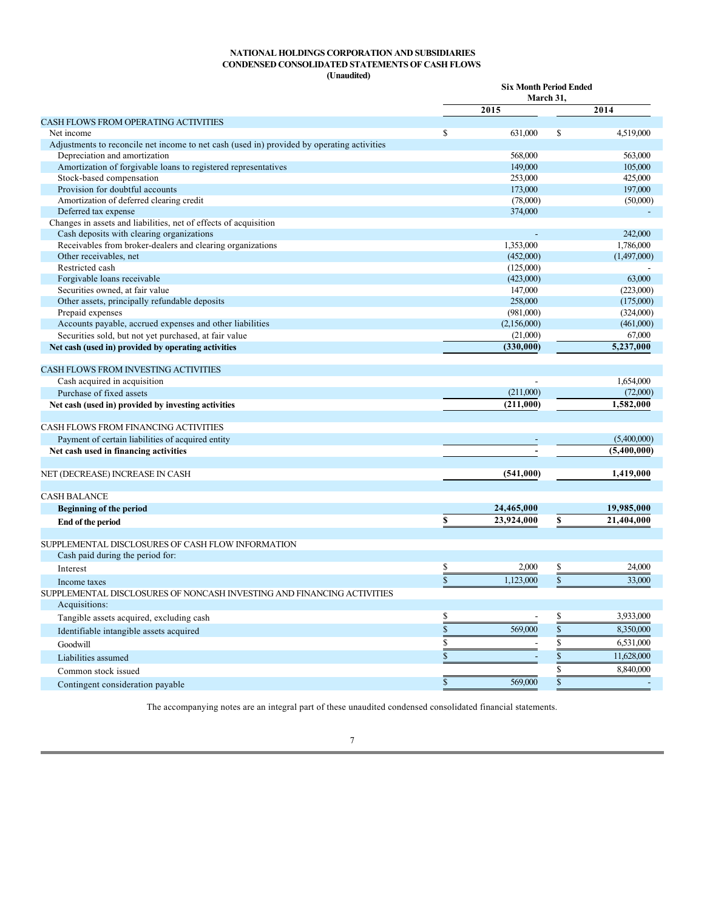# **NATIONAL HOLDINGS CORPORATION AND SUBSIDIARIES CONDENSED CONSOLIDATED STATEMENTS OF CASH FLOWS (Unaudited)**

|                                                                                            | <b>Six Month Period Ended</b><br>March 31, |                         |                    |
|--------------------------------------------------------------------------------------------|--------------------------------------------|-------------------------|--------------------|
|                                                                                            | 2015                                       |                         | 2014               |
| <b>CASH FLOWS FROM OPERATING ACTIVITIES</b>                                                |                                            |                         |                    |
| Net income                                                                                 | \$<br>631,000                              | \$                      | 4,519,000          |
| Adjustments to reconcile net income to net cash (used in) provided by operating activities |                                            |                         |                    |
| Depreciation and amortization                                                              | 568,000<br>149,000                         |                         | 563,000<br>105,000 |
| Amortization of forgivable loans to registered representatives<br>Stock-based compensation | 253,000                                    |                         | 425,000            |
| Provision for doubtful accounts                                                            | 173,000                                    |                         | 197,000            |
| Amortization of deferred clearing credit                                                   | (78,000)                                   |                         | (50,000)           |
| Deferred tax expense                                                                       | 374,000                                    |                         |                    |
| Changes in assets and liabilities, net of effects of acquisition                           |                                            |                         |                    |
| Cash deposits with clearing organizations                                                  |                                            |                         | 242,000            |
| Receivables from broker-dealers and clearing organizations                                 | 1,353,000                                  |                         | 1,786,000          |
| Other receivables, net                                                                     | (452,000)                                  |                         | (1,497,000)        |
| Restricted cash                                                                            | (125,000)                                  |                         |                    |
| Forgivable loans receivable                                                                | (423,000)                                  |                         | 63,000             |
| Securities owned, at fair value                                                            | 147,000                                    |                         | (223,000)          |
| Other assets, principally refundable deposits                                              | 258,000                                    |                         | (175,000)          |
| Prepaid expenses                                                                           | (981,000)                                  |                         | (324,000)          |
| Accounts payable, accrued expenses and other liabilities                                   | (2,156,000)                                |                         | (461,000)          |
| Securities sold, but not yet purchased, at fair value                                      | (21,000)                                   |                         | 67,000             |
| Net cash (used in) provided by operating activities                                        | (330,000)                                  |                         | 5,237,000          |
| <b>CASH FLOWS FROM INVESTING ACTIVITIES</b>                                                |                                            |                         |                    |
| Cash acquired in acquisition                                                               |                                            |                         | 1,654,000          |
| Purchase of fixed assets                                                                   | (211,000)                                  |                         | (72,000)           |
| Net cash (used in) provided by investing activities                                        | (211,000)                                  |                         | 1,582,000          |
| <b>CASH FLOWS FROM FINANCING ACTIVITIES</b>                                                |                                            |                         |                    |
| Payment of certain liabilities of acquired entity                                          |                                            |                         | (5,400,000)        |
| Net cash used in financing activities                                                      |                                            |                         | (5,400,000)        |
| NET (DECREASE) INCREASE IN CASH                                                            | (541,000)                                  |                         | 1,419,000          |
| <b>CASH BALANCE</b>                                                                        |                                            |                         |                    |
| <b>Beginning of the period</b>                                                             | 24,465,000                                 |                         | 19,985,000         |
|                                                                                            | \$<br>23,924,000                           | \$                      | 21,404,000         |
| End of the period                                                                          |                                            |                         |                    |
| SUPPLEMENTAL DISCLOSURES OF CASH FLOW INFORMATION                                          |                                            |                         |                    |
| Cash paid during the period for:                                                           |                                            |                         |                    |
| Interest                                                                                   | \$<br>2,000                                | \$                      | 24,000             |
| Income taxes                                                                               | \$<br>1,123,000                            | $\overline{\mathbb{S}}$ | 33,000             |
| SUPPLEMENTAL DISCLOSURES OF NONCASH INVESTING AND FINANCING ACTIVITIES<br>Acquisitions:    |                                            |                         |                    |
| Tangible assets acquired, excluding cash                                                   | \$                                         | \$                      | 3,933,000          |
| Identifiable intangible assets acquired                                                    | \$<br>569,000                              | \$                      | 8,350,000          |
| Goodwill                                                                                   | \$                                         | \$                      | 6,531,000          |
|                                                                                            | \$                                         |                         | 11,628,000         |
| Liabilities assumed                                                                        |                                            |                         |                    |
| Common stock issued                                                                        |                                            | S                       | 8,840,000          |
| Contingent consideration payable                                                           | \$<br>569,000                              | \$                      |                    |

The accompanying notes are an integral part of these unaudited condensed consolidated financial statements.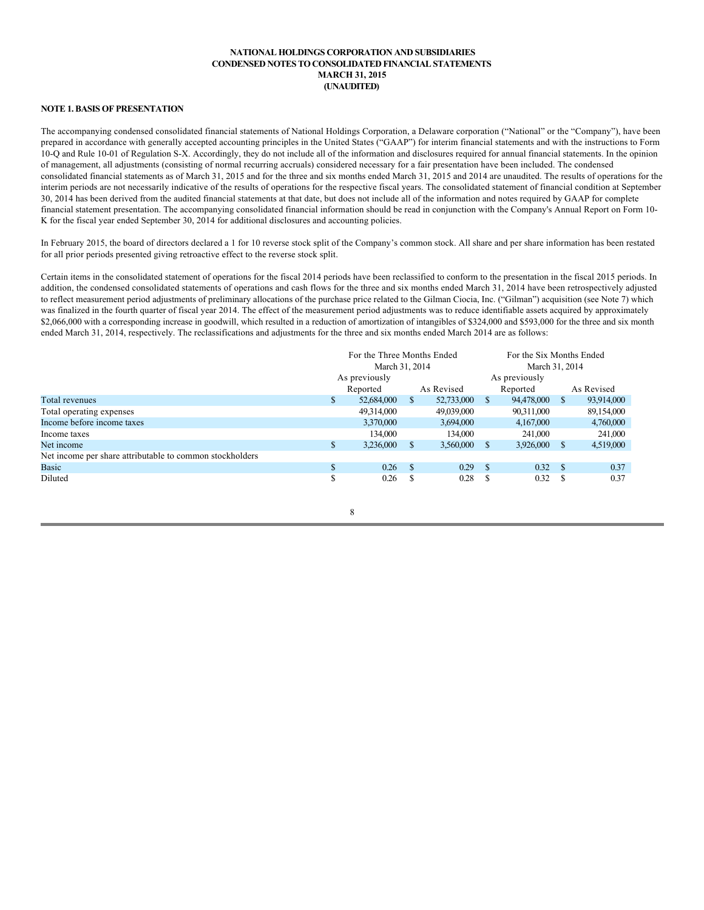## **NATIONAL HOLDINGS CORPORATION AND SUBSIDIARIES CONDENSED NOTES TO CONSOLIDATED FINANCIAL STATEMENTS MARCH 31, 2015 (UNAUDITED)**

### **NOTE 1. BASIS OF PRESENTATION**

The accompanying condensed consolidated financial statements of National Holdings Corporation, a Delaware corporation ("National" or the "Company"), have been prepared in accordance with generally accepted accounting principles in the United States ("GAAP") for interim financial statements and with the instructions to Form 10-Q and Rule 10-01 of Regulation S-X. Accordingly, they do not include all of the information and disclosures required for annual financial statements. In the opinion of management, all adjustments (consisting of normal recurring accruals) considered necessary for a fair presentation have been included. The condensed consolidated financial statements as of March 31, 2015 and for the three and six months ended March 31, 2015 and 2014 are unaudited. The results of operations for the interim periods are not necessarily indicative of the results of operations for the respective fiscal years. The consolidated statement of financial condition at September 30, 2014 has been derived from the audited financial statements at that date, but does not include all of the information and notes required by GAAP for complete financial statement presentation. The accompanying consolidated financial information should be read in conjunction with the Company's Annual Report on Form 10- K for the fiscal year ended September 30, 2014 for additional disclosures and accounting policies.

In February 2015, the board of directors declared a 1 for 10 reverse stock split of the Company's common stock. All share and per share information has been restated for all prior periods presented giving retroactive effect to the reverse stock split.

Certain items in the consolidated statement of operations for the fiscal 2014 periods have been reclassified to conform to the presentation in the fiscal 2015 periods. In addition, the condensed consolidated statements of operations and cash flows for the three and six months ended March 31, 2014 have been retrospectively adjusted to reflect measurement period adjustments of preliminary allocations of the purchase price related to the Gilman Ciocia, Inc. ("Gilman") acquisition (see Note 7) which was finalized in the fourth quarter of fiscal year 2014. The effect of the measurement period adjustments was to reduce identifiable assets acquired by approximately \$2,066,000 with a corresponding increase in goodwill, which resulted in a reduction of amortization of intangibles of \$324,000 and \$593,000 for the three and six month ended March 31, 2014, respectively. The reclassifications and adjustments for the three and six months ended March 2014 are as follows:

|                                                          | For the Three Months Ended |            |            |                | For the Six Months Ended |    |            |  |            |
|----------------------------------------------------------|----------------------------|------------|------------|----------------|--------------------------|----|------------|--|------------|
|                                                          | March 31, 2014             |            |            | March 31, 2014 |                          |    |            |  |            |
|                                                          | As previously              |            |            |                | As previously            |    |            |  |            |
|                                                          | Reported                   | As Revised |            |                |                          |    | Reported   |  | As Revised |
| Total revenues                                           | 52,684,000                 | S          | 52,733,000 | <sup>\$</sup>  | 94,478,000               | S. | 93,914,000 |  |            |
| Total operating expenses                                 | 49,314,000                 |            | 49,039,000 |                | 90,311,000               |    | 89,154,000 |  |            |
| Income before income taxes                               | 3,370,000                  |            | 3,694,000  |                | 4,167,000                |    | 4,760,000  |  |            |
| Income taxes                                             | 134,000                    |            | 134,000    |                | 241,000                  |    | 241,000    |  |            |
| Net income                                               | 3,236,000                  |            | 3,560,000  | <sup>\$</sup>  | 3,926,000                | S. | 4,519,000  |  |            |
| Net income per share attributable to common stockholders |                            |            |            |                |                          |    |            |  |            |
| Basic                                                    | 0.26                       | - 8        | 0.29       | -8             | $0.32 \quad$ \$          |    | 0.37       |  |            |
| Diluted                                                  | 0.26                       |            | 0.28       |                | 0.32                     | -S | 0.37       |  |            |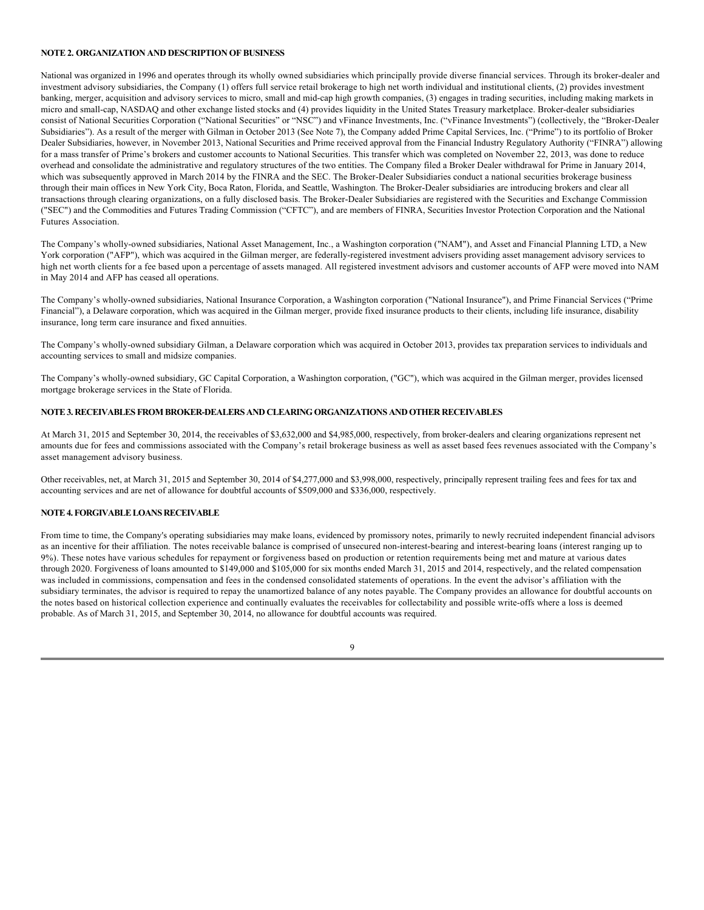### **NOTE 2. ORGANIZATION AND DESCRIPTION OF BUSINESS**

National was organized in 1996 and operates through its wholly owned subsidiaries which principally provide diverse financial services. Through its broker-dealer and investment advisory subsidiaries, the Company (1) offers full service retail brokerage to high net worth individual and institutional clients, (2) provides investment banking, merger, acquisition and advisory services to micro, small and mid-cap high growth companies, (3) engages in trading securities, including making markets in micro and small-cap, NASDAQ and other exchange listed stocks and (4) provides liquidity in the United States Treasury marketplace. Broker-dealer subsidiaries consist of National Securities Corporation ("National Securities" or "NSC") and vFinance Investments, Inc. ("vFinance Investments") (collectively, the "Broker-Dealer Subsidiaries"). As a result of the merger with Gilman in October 2013 (See Note 7), the Company added Prime Capital Services, Inc. ("Prime") to its portfolio of Broker Dealer Subsidiaries, however, in November 2013, National Securities and Prime received approval from the Financial Industry Regulatory Authority ("FINRA") allowing for a mass transfer of Prime's brokers and customer accounts to National Securities. This transfer which was completed on November 22, 2013, was done to reduce overhead and consolidate the administrative and regulatory structures of the two entities. The Company filed a Broker Dealer withdrawal for Prime in January 2014, which was subsequently approved in March 2014 by the FINRA and the SEC. The Broker-Dealer Subsidiaries conduct a national securities brokerage business through their main offices in New York City, Boca Raton, Florida, and Seattle, Washington. The Broker-Dealer subsidiaries are introducing brokers and clear all transactions through clearing organizations, on a fully disclosed basis. The Broker-Dealer Subsidiaries are registered with the Securities and Exchange Commission ("SEC") and the Commodities and Futures Trading Commission ("CFTC"), and are members of FINRA, Securities Investor Protection Corporation and the National Futures Association.

The Company's wholly-owned subsidiaries, National Asset Management, Inc., a Washington corporation ("NAM"), and Asset and Financial Planning LTD, a New York corporation ("AFP"), which was acquired in the Gilman merger, are federally-registered investment advisers providing asset management advisory services to high net worth clients for a fee based upon a percentage of assets managed. All registered investment advisors and customer accounts of AFP were moved into NAM in May 2014 and AFP has ceased all operations.

The Company's wholly-owned subsidiaries, National Insurance Corporation, a Washington corporation ("National Insurance"), and Prime Financial Services ("Prime Financial"), a Delaware corporation, which was acquired in the Gilman merger, provide fixed insurance products to their clients, including life insurance, disability insurance, long term care insurance and fixed annuities.

The Company's wholly-owned subsidiary Gilman, a Delaware corporation which was acquired in October 2013, provides tax preparation services to individuals and accounting services to small and midsize companies.

The Company's wholly-owned subsidiary, GC Capital Corporation, a Washington corporation, ("GC"), which was acquired in the Gilman merger, provides licensed mortgage brokerage services in the State of Florida.

### **NOTE 3. RECEIVABLES FROM BROKER-DEALERS AND CLEARING ORGANIZATIONS AND OTHER RECEIVABLES**

At March 31, 2015 and September 30, 2014, the receivables of \$3,632,000 and \$4,985,000, respectively, from broker-dealers and clearing organizations represent net amounts due for fees and commissions associated with the Company's retail brokerage business as well as asset based fees revenues associated with the Company's asset management advisory business.

Other receivables, net, at March 31, 2015 and September 30, 2014 of \$4,277,000 and \$3,998,000, respectively, principally represent trailing fees and fees for tax and accounting services and are net of allowance for doubtful accounts of \$509,000 and \$336,000, respectively.

## **NOTE 4. FORGIVABLE LOANS RECEIVABLE**

From time to time, the Company's operating subsidiaries may make loans, evidenced by promissory notes, primarily to newly recruited independent financial advisors as an incentive for their affiliation. The notes receivable balance is comprised of unsecured non-interest-bearing and interest-bearing loans (interest ranging up to 9%). These notes have various schedules for repayment or forgiveness based on production or retention requirements being met and mature at various dates through 2020. Forgiveness of loans amounted to \$149,000 and \$105,000 for six months ended March 31, 2015 and 2014, respectively, and the related compensation was included in commissions, compensation and fees in the condensed consolidated statements of operations. In the event the advisor's affiliation with the subsidiary terminates, the advisor is required to repay the unamortized balance of any notes payable. The Company provides an allowance for doubtful accounts on the notes based on historical collection experience and continually evaluates the receivables for collectability and possible write-offs where a loss is deemed probable. As of March 31, 2015, and September 30, 2014, no allowance for doubtful accounts was required.

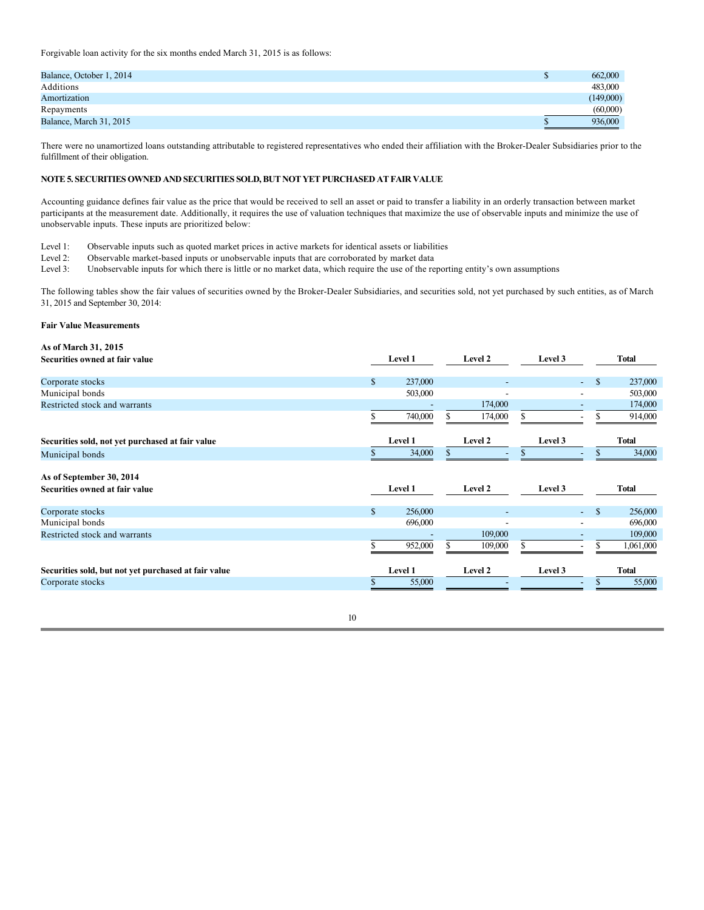Forgivable loan activity for the six months ended March 31, 2015 is as follows:

| Balance, October 1, 2014 | 662,000   |
|--------------------------|-----------|
| Additions                | 483,000   |
| Amortization             | (149,000) |
| Repayments               | (60,000)  |
| Balance, March 31, 2015  | 936,000   |

There were no unamortized loans outstanding attributable to registered representatives who ended their affiliation with the Broker-Dealer Subsidiaries prior to the fulfillment of their obligation.

### **NOTE 5. SECURITIES OWNED AND SECURITIES SOLD, BUT NOT YET PURCHASED AT FAIR VALUE**

Accounting guidance defines fair value as the price that would be received to sell an asset or paid to transfer a liability in an orderly transaction between market participants at the measurement date. Additionally, it requires the use of valuation techniques that maximize the use of observable inputs and minimize the use of unobservable inputs. These inputs are prioritized below:

- Level 1: Observable inputs such as quoted market prices in active markets for identical assets or liabilities Level 2: Observable market-based inputs or unobservable inputs that are corroborated by market data
- Observable market-based inputs or unobservable inputs that are corroborated by market data
- Level 3: Unobservable inputs for which there is little or no market data, which require the use of the reporting entity's own assumptions

The following tables show the fair values of securities owned by the Broker-Dealer Subsidiaries, and securities sold, not yet purchased by such entities, as of March 31, 2015 and September 30, 2014:

# **Fair Value Measurements**

### **As of March 31, 2015**

| Securities owned at fair value                       |              | <b>Level 1</b> |  | <b>Level 2</b> |    | Level 3 |                                   | Total     |  |
|------------------------------------------------------|--------------|----------------|--|----------------|----|---------|-----------------------------------|-----------|--|
| Corporate stocks                                     | \$           | 237,000        |  |                |    |         | <sup>\$</sup><br>$\Delta \sim 10$ | 237,000   |  |
| Municipal bonds                                      |              | 503,000        |  |                |    |         |                                   | 503,000   |  |
| Restricted stock and warrants                        |              |                |  | 174,000        |    |         |                                   | 174,000   |  |
|                                                      |              | 740,000        |  | 174,000        | \$ |         |                                   | 914,000   |  |
| Securities sold, not yet purchased at fair value     |              | <b>Level 1</b> |  | <b>Level 2</b> |    | Level 3 |                                   | Total     |  |
| Municipal bonds                                      |              | 34,000         |  |                | \$ |         |                                   | 34,000    |  |
| As of September 30, 2014                             |              |                |  |                |    |         |                                   |           |  |
| Securities owned at fair value                       |              | <b>Level 1</b> |  | <b>Level 2</b> |    | Level 3 |                                   | Total     |  |
| Corporate stocks                                     | $\mathbb{S}$ | 256,000        |  |                |    |         | $\mathbf S$<br>$\omega_{\rm c}$   | 256,000   |  |
| Municipal bonds                                      |              | 696,000        |  |                |    |         |                                   | 696,000   |  |
| Restricted stock and warrants                        |              |                |  | 109,000        |    |         |                                   | 109,000   |  |
|                                                      |              | 952,000        |  | 109,000        | \$ |         |                                   | 1,061,000 |  |
| Securities sold, but not yet purchased at fair value |              | <b>Level 1</b> |  | <b>Level 2</b> |    | Level 3 |                                   | Total     |  |
| Corporate stocks                                     |              | 55,000         |  |                |    |         |                                   | 55,000    |  |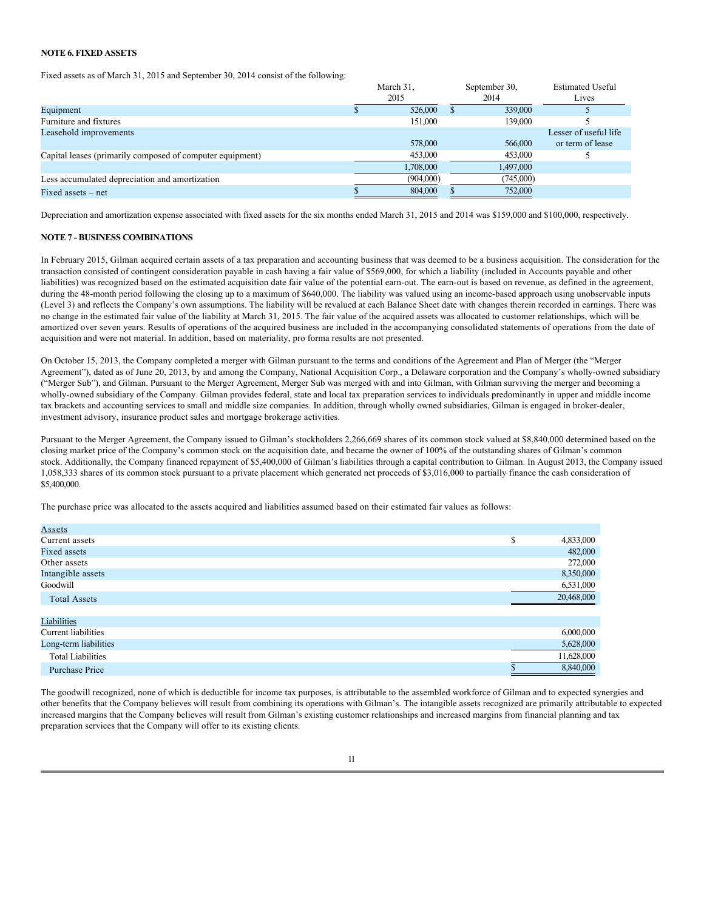## **NOTE 6. FIXED ASSETS**

Fixed assets as of March 31, 2015 and September 30, 2014 consist of the following:

|           |           |           | <b>Estimated Useful</b> |
|-----------|-----------|-----------|-------------------------|
| 2015      |           | 2014      | Lives                   |
| 526,000   |           | 339,000   |                         |
| 151,000   |           | 139,000   |                         |
|           |           |           | Lesser of useful life   |
| 578,000   |           | 566,000   | or term of lease        |
| 453,000   |           | 453,000   |                         |
| 1,708,000 |           | 1,497,000 |                         |
| (904,000) |           | (745,000) |                         |
| 804,000   |           | 752,000   |                         |
|           | March 31. |           | September 30.           |

Depreciation and amortization expense associated with fixed assets for the six months ended March 31, 2015 and 2014 was \$159,000 and \$100,000, respectively.

#### **NOTE 7 - BUSINESS COMBINATIONS**

In February 2015, Gilman acquired certain assets of a tax preparation and accounting business that was deemed to be a business acquisition. The consideration for the transaction consisted of contingent consideration payable in cash having a fair value of \$569,000, for which a liability (included in Accounts payable and other liabilities) was recognized based on the estimated acquisition date fair value of the potential earn-out. The earn-out is based on revenue, as defined in the agreement, during the 48-month period following the closing up to a maximum of \$640,000. The liability was valued using an income-based approach using unobservable inputs (Level 3) and reflects the Company's own assumptions. The liability will be revalued at each Balance Sheet date with changes therein recorded in earnings. There was no change in the estimated fair value of the liability at March 31, 2015. The fair value of the acquired assets was allocated to customer relationships, which will be amortized over seven years. Results of operations of the acquired business are included in the accompanying consolidated statements of operations from the date of acquisition and were not material. In addition, based on materiality, pro forma results are not presented.

On October 15, 2013, the Company completed a merger with Gilman pursuant to the terms and conditions of the Agreement and Plan of Merger (the "Merger Agreement"), dated as of June 20, 2013, by and among the Company, National Acquisition Corp., a Delaware corporation and the Company's wholly-owned subsidiary ("Merger Sub"), and Gilman. Pursuant to the Merger Agreement, Merger Sub was merged with and into Gilman, with Gilman surviving the merger and becoming a wholly-owned subsidiary of the Company. Gilman provides federal, state and local tax preparation services to individuals predominantly in upper and middle income tax brackets and accounting services to small and middle size companies. In addition, through wholly owned subsidiaries, Gilman is engaged in broker-dealer, investment advisory, insurance product sales and mortgage brokerage activities.

Pursuant to the Merger Agreement, the Company issued to Gilman's stockholders 2,266,669 shares of its common stock valued at \$8,840,000 determined based on the closing market price of the Company's common stock on the acquisition date, and became the owner of 100% of the outstanding shares of Gilman's common stock. Additionally, the Company financed repayment of \$5,400,000 of Gilman's liabilities through a capital contribution to Gilman. In August 2013, the Company issued 1,058,333 shares of its common stock pursuant to a private placement which generated net proceeds of \$3,016,000 to partially finance the cash consideration of \$5,400,000.

The purchase price was allocated to the assets acquired and liabilities assumed based on their estimated fair values as follows:

| Assets                   |                 |
|--------------------------|-----------------|
| Current assets           | \$<br>4,833,000 |
| Fixed assets             | 482,000         |
| Other assets             | 272,000         |
| Intangible assets        | 8,350,000       |
| Goodwill                 | 6,531,000       |
| <b>Total Assets</b>      | 20,468,000      |
|                          |                 |
| Liabilities              |                 |
| Current liabilities      | 6,000,000       |
| Long-term liabilities    | 5,628,000       |
| <b>Total Liabilities</b> | 11,628,000      |
| Purchase Price           | 8,840,000       |

The goodwill recognized, none of which is deductible for income tax purposes, is attributable to the assembled workforce of Gilman and to expected synergies and other benefits that the Company believes will result from combining its operations with Gilman's. The intangible assets recognized are primarily attributable to expected increased margins that the Company believes will result from Gilman's existing customer relationships and increased margins from financial planning and tax preparation services that the Company will offer to its existing clients.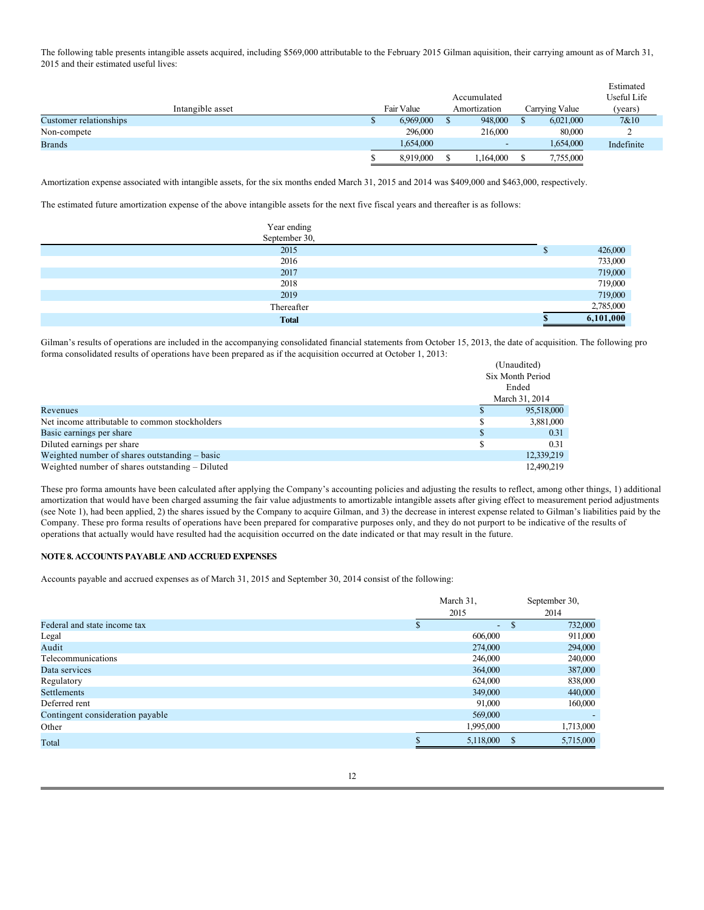The following table presents intangible assets acquired, including \$569,000 attributable to the February 2015 Gilman aquisition, their carrying amount as of March 31, 2015 and their estimated useful lives:

|                        |            |              |                | Estimated   |
|------------------------|------------|--------------|----------------|-------------|
|                        |            | Accumulated  |                | Useful Life |
| Intangible asset       | Fair Value | Amortization | Carrying Value | (years)     |
| Customer relationships | 6,969,000  | 948,000      | 6,021,000      | 7&10        |
| Non-compete            | 296,000    | 216,000      | 80,000         |             |
| <b>Brands</b>          | 1.654.000  | $\sim$       | 1,654,000      | Indefinite  |
|                        | 8,919,000  | ,164,000     | 7,755,000      |             |

Amortization expense associated with intangible assets, for the six months ended March 31, 2015 and 2014 was \$409,000 and \$463,000, respectively.

The estimated future amortization expense of the above intangible assets for the next five fiscal years and thereafter is as follows:

| Year ending   |           |
|---------------|-----------|
| September 30, |           |
| 2015          | 426,000   |
| 2016          | 733,000   |
| 2017          | 719,000   |
| 2018          | 719,000   |
| 2019          | 719,000   |
| Thereafter    | 2,785,000 |
| <b>Total</b>  | 6,101,000 |

Gilman's results of operations are included in the accompanying consolidated financial statements from October 15, 2013, the date of acquisition. The following pro forma consolidated results of operations have been prepared as if the acquisition occurred at October 1, 2013:  $(v_1, v_2, v_3)$ 

|                                                 | (Unaudited)      |
|-------------------------------------------------|------------------|
|                                                 | Six Month Period |
|                                                 | Ended            |
|                                                 | March 31, 2014   |
| Revenues                                        | 95.518,000       |
| Net income attributable to common stockholders  | 3,881,000        |
| Basic earnings per share                        | 0.31             |
| Diluted earnings per share                      | 0.31             |
| Weighted number of shares outstanding – basic   | 12,339,219       |
| Weighted number of shares outstanding – Diluted | 12.490.219       |

These pro forma amounts have been calculated after applying the Company's accounting policies and adjusting the results to reflect, among other things, 1) additional amortization that would have been charged assuming the fair value adjustments to amortizable intangible assets after giving effect to measurement period adjustments (see Note 1), had been applied, 2) the shares issued by the Company to acquire Gilman, and 3) the decrease in interest expense related to Gilman's liabilities paid by the Company. These pro forma results of operations have been prepared for comparative purposes only, and they do not purport to be indicative of the results of operations that actually would have resulted had the acquisition occurred on the date indicated or that may result in the future.

# **NOTE 8. ACCOUNTS PAYABLE AND ACCRUED EXPENSES**

Accounts payable and accrued expenses as of March 31, 2015 and September 30, 2014 consist of the following:

| March 31, |               | September 30, |
|-----------|---------------|---------------|
| 2015      |               | 2014          |
| ÷         | <sup>\$</sup> | 732,000       |
| 606,000   |               | 911,000       |
| 274,000   |               | 294,000       |
| 246,000   |               | 240,000       |
| 364,000   |               | 387,000       |
| 624,000   |               | 838,000       |
| 349,000   |               | 440,000       |
| 91,000    |               | 160,000       |
| 569,000   |               |               |
| 1,995,000 |               | 1,713,000     |
| 5,118,000 | \$.           | 5,715,000     |
|           |               |               |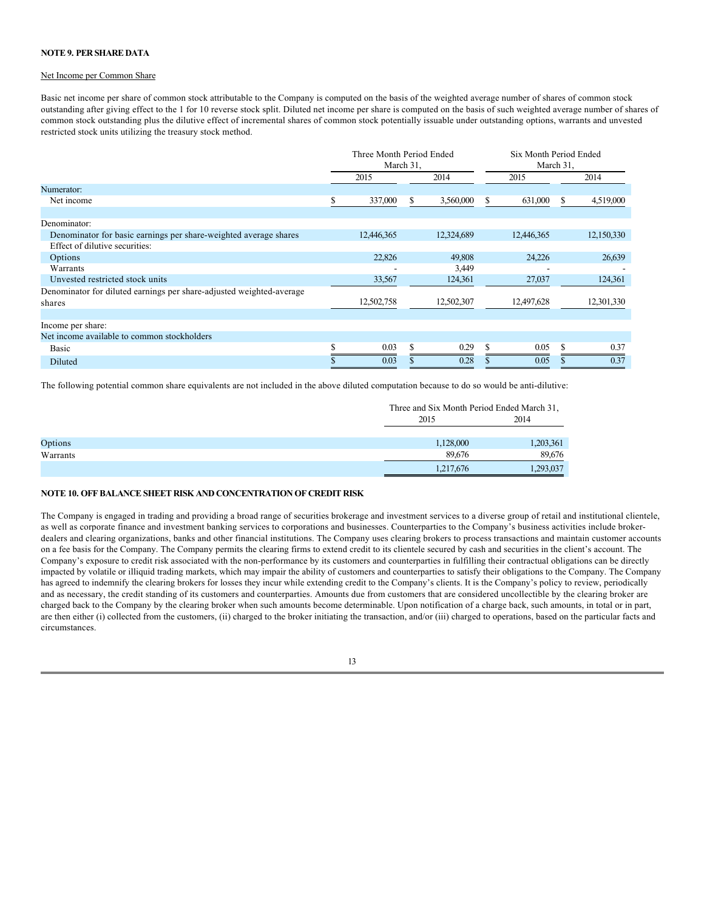## **NOTE 9. PER SHARE DATA**

### Net Income per Common Share

Basic net income per share of common stock attributable to the Company is computed on the basis of the weighted average number of shares of common stock outstanding after giving effect to the 1 for 10 reverse stock split. Diluted net income per share is computed on the basis of such weighted average number of shares of common stock outstanding plus the dilutive effect of incremental shares of common stock potentially issuable under outstanding options, warrants and unvested restricted stock units utilizing the treasury stock method.

|                                                                      |   | Three Month Period Ended<br>March 31. |    |            |      | Six Month Period Ended | March 31. |            |
|----------------------------------------------------------------------|---|---------------------------------------|----|------------|------|------------------------|-----------|------------|
|                                                                      |   | 2015                                  |    | 2014       | 2015 |                        |           | 2014       |
| Numerator:                                                           |   |                                       |    |            |      |                        |           |            |
| Net income                                                           | D | 337,000                               | S  | 3,560,000  | S    | 631,000                | S.        | 4,519,000  |
| Denominator:                                                         |   |                                       |    |            |      |                        |           |            |
| Denominator for basic earnings per share-weighted average shares     |   | 12,446,365                            |    | 12,324,689 |      | 12,446,365             |           | 12,150,330 |
| Effect of dilutive securities:                                       |   |                                       |    |            |      |                        |           |            |
| Options                                                              |   | 22,826                                |    | 49,808     |      | 24,226                 |           | 26,639     |
| Warrants                                                             |   |                                       |    | 3,449      |      |                        |           |            |
| Unvested restricted stock units                                      |   | 33,567                                |    | 124,361    |      | 27,037                 |           | 124,361    |
| Denominator for diluted earnings per share-adjusted weighted-average |   |                                       |    |            |      |                        |           |            |
| shares                                                               |   | 12,502,758                            |    | 12,502,307 |      | 12,497,628             |           | 12,301,330 |
|                                                                      |   |                                       |    |            |      |                        |           |            |
| Income per share:                                                    |   |                                       |    |            |      |                        |           |            |
| Net income available to common stockholders                          |   |                                       |    |            |      |                        |           |            |
| Basic                                                                |   | 0.03                                  | \$ | 0.29       |      | 0.05                   | \$        | 0.37       |
| Diluted                                                              |   | 0.03                                  |    | 0.28       |      | 0.05                   |           | 0.37       |

The following potential common share equivalents are not included in the above diluted computation because to do so would be anti-dilutive:

|          |      | Three and Six Month Period Ended March 31, |           |  |  |
|----------|------|--------------------------------------------|-----------|--|--|
|          | 2015 |                                            | 2014      |  |  |
|          |      |                                            |           |  |  |
| Options  |      | 1,128,000                                  | 1,203,361 |  |  |
| Warrants |      | 89.676                                     | 89,676    |  |  |
|          |      | 1,217,676                                  | 1,293,037 |  |  |

# **NOTE 10. OFF BALANCE SHEET RISK AND CONCENTRATION OF CREDIT RISK**

The Company is engaged in trading and providing a broad range of securities brokerage and investment services to a diverse group of retail and institutional clientele, as well as corporate finance and investment banking services to corporations and businesses. Counterparties to the Company's business activities include brokerdealers and clearing organizations, banks and other financial institutions. The Company uses clearing brokers to process transactions and maintain customer accounts on a fee basis for the Company. The Company permits the clearing firms to extend credit to its clientele secured by cash and securities in the client's account. The Company's exposure to credit risk associated with the non-performance by its customers and counterparties in fulfilling their contractual obligations can be directly impacted by volatile or illiquid trading markets, which may impair the ability of customers and counterparties to satisfy their obligations to the Company. The Company has agreed to indemnify the clearing brokers for losses they incur while extending credit to the Company's clients. It is the Company's policy to review, periodically and as necessary, the credit standing of its customers and counterparties. Amounts due from customers that are considered uncollectible by the clearing broker are charged back to the Company by the clearing broker when such amounts become determinable. Upon notification of a charge back, such amounts, in total or in part, are then either (i) collected from the customers, (ii) charged to the broker initiating the transaction, and/or (iii) charged to operations, based on the particular facts and circumstances.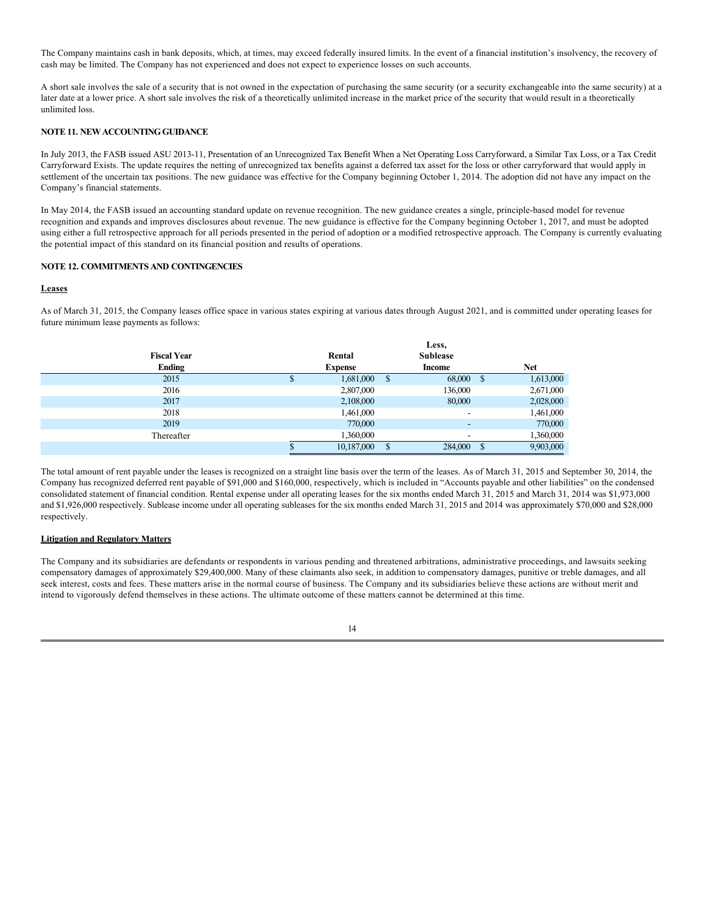The Company maintains cash in bank deposits, which, at times, may exceed federally insured limits. In the event of a financial institution's insolvency, the recovery of cash may be limited. The Company has not experienced and does not expect to experience losses on such accounts.

A short sale involves the sale of a security that is not owned in the expectation of purchasing the same security (or a security exchangeable into the same security) at a later date at a lower price. A short sale involves the risk of a theoretically unlimited increase in the market price of the security that would result in a theoretically unlimited loss.

### **NOTE 11. NEW ACCOUNTING GUIDANCE**

In July 2013, the FASB issued ASU 2013-11, Presentation of an Unrecognized Tax Benefit When a Net Operating Loss Carryforward, a Similar Tax Loss, or a Tax Credit Carryforward Exists. The update requires the netting of unrecognized tax benefits against a deferred tax asset for the loss or other carryforward that would apply in settlement of the uncertain tax positions. The new guidance was effective for the Company beginning October 1, 2014. The adoption did not have any impact on the Company's financial statements.

In May 2014, the FASB issued an accounting standard update on revenue recognition. The new guidance creates a single, principle-based model for revenue recognition and expands and improves disclosures about revenue. The new guidance is effective for the Company beginning October 1, 2017, and must be adopted using either a full retrospective approach for all periods presented in the period of adoption or a modified retrospective approach. The Company is currently evaluating the potential impact of this standard on its financial position and results of operations.

### **NOTE 12. COMMITMENTS AND CONTINGENCIES**

### **Leases**

As of March 31, 2015, the Company leases office space in various states expiring at various dates through August 2021, and is committed under operating leases for future minimum lease payments as follows:

|                    |                | Less,           |      |           |
|--------------------|----------------|-----------------|------|-----------|
| <b>Fiscal Year</b> | Rental         | <b>Sublease</b> |      |           |
| Ending             | <b>Expense</b> | Income          |      | Net       |
| 2015               | 1,681,000      | 68,000<br>\$    | - \$ | 1,613,000 |
| 2016               | 2,807,000      | 136,000         |      | 2,671,000 |
| 2017               | 2,108,000      | 80,000          |      | 2,028,000 |
| 2018               | 1,461,000      |                 |      | 1,461,000 |
| 2019               | 770,000        | -               |      | 770,000   |
| Thereafter         | 1,360,000      |                 |      | 1,360,000 |
|                    | 10,187,000     | 284,000<br>\$   |      | 9,903,000 |

The total amount of rent payable under the leases is recognized on a straight line basis over the term of the leases. As of March 31, 2015 and September 30, 2014, the Company has recognized deferred rent payable of \$91,000 and \$160,000, respectively, which is included in "Accounts payable and other liabilities" on the condensed consolidated statement of financial condition. Rental expense under all operating leases for the six months ended March 31, 2015 and March 31, 2014 was \$1,973,000 and \$1,926,000 respectively. Sublease income under all operating subleases for the six months ended March 31, 2015 and 2014 was approximately \$70,000 and \$28,000 respectively.

#### **Litigation and Regulatory Matters**

The Company and its subsidiaries are defendants or respondents in various pending and threatened arbitrations, administrative proceedings, and lawsuits seeking compensatory damages of approximately \$29,400,000. Many of these claimants also seek, in addition to compensatory damages, punitive or treble damages, and all seek interest, costs and fees. These matters arise in the normal course of business. The Company and its subsidiaries believe these actions are without merit and intend to vigorously defend themselves in these actions. The ultimate outcome of these matters cannot be determined at this time.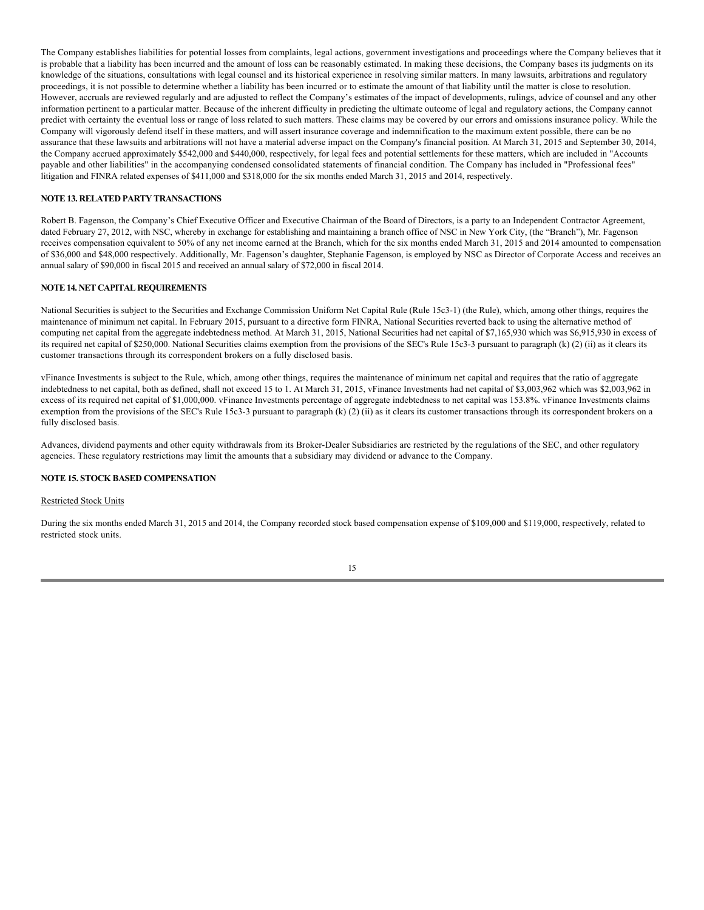The Company establishes liabilities for potential losses from complaints, legal actions, government investigations and proceedings where the Company believes that it is probable that a liability has been incurred and the amount of loss can be reasonably estimated. In making these decisions, the Company bases its judgments on its knowledge of the situations, consultations with legal counsel and its historical experience in resolving similar matters. In many lawsuits, arbitrations and regulatory proceedings, it is not possible to determine whether a liability has been incurred or to estimate the amount of that liability until the matter is close to resolution. However, accruals are reviewed regularly and are adjusted to reflect the Company's estimates of the impact of developments, rulings, advice of counsel and any other information pertinent to a particular matter. Because of the inherent difficulty in predicting the ultimate outcome of legal and regulatory actions, the Company cannot predict with certainty the eventual loss or range of loss related to such matters. These claims may be covered by our errors and omissions insurance policy. While the Company will vigorously defend itself in these matters, and will assert insurance coverage and indemnification to the maximum extent possible, there can be no assurance that these lawsuits and arbitrations will not have a material adverse impact on the Company's financial position. At March 31, 2015 and September 30, 2014, the Company accrued approximately \$542,000 and \$440,000, respectively, for legal fees and potential settlements for these matters, which are included in "Accounts payable and other liabilities" in the accompanying condensed consolidated statements of financial condition. The Company has included in "Professional fees" litigation and FINRA related expenses of \$411,000 and \$318,000 for the six months ended March 31, 2015 and 2014, respectively.

#### **NOTE 13. RELATED PARTY TRANSACTIONS**

Robert B. Fagenson, the Company's Chief Executive Officer and Executive Chairman of the Board of Directors, is a party to an Independent Contractor Agreement, dated February 27, 2012, with NSC, whereby in exchange for establishing and maintaining a branch office of NSC in New York City, (the "Branch"), Mr. Fagenson receives compensation equivalent to 50% of any net income earned at the Branch, which for the six months ended March 31, 2015 and 2014 amounted to compensation of \$36,000 and \$48,000 respectively. Additionally, Mr. Fagenson's daughter, Stephanie Fagenson, is employed by NSC as Director of Corporate Access and receives an annual salary of \$90,000 in fiscal 2015 and received an annual salary of \$72,000 in fiscal 2014.

### **NOTE 14. NET CAPITAL REQUIREMENTS**

National Securities is subject to the Securities and Exchange Commission Uniform Net Capital Rule (Rule 15c3-1) (the Rule), which, among other things, requires the maintenance of minimum net capital. In February 2015, pursuant to a directive form FINRA, National Securities reverted back to using the alternative method of computing net capital from the aggregate indebtedness method. At March 31, 2015, National Securities had net capital of \$7,165,930 which was \$6,915,930 in excess of its required net capital of \$250,000. National Securities claims exemption from the provisions of the SEC's Rule 15c3-3 pursuant to paragraph (k) (2) (ii) as it clears its customer transactions through its correspondent brokers on a fully disclosed basis.

vFinance Investments is subject to the Rule, which, among other things, requires the maintenance of minimum net capital and requires that the ratio of aggregate indebtedness to net capital, both as defined, shall not exceed 15 to 1. At March 31, 2015, vFinance Investments had net capital of \$3,003,962 which was \$2,003,962 in excess of its required net capital of \$1,000,000. vFinance Investments percentage of aggregate indebtedness to net capital was 153.8%. vFinance Investments claims exemption from the provisions of the SEC's Rule 15c3-3 pursuant to paragraph (k) (2) (ii) as it clears its customer transactions through its correspondent brokers on a fully disclosed basis.

Advances, dividend payments and other equity withdrawals from its Broker-Dealer Subsidiaries are restricted by the regulations of the SEC, and other regulatory agencies. These regulatory restrictions may limit the amounts that a subsidiary may dividend or advance to the Company.

# **NOTE 15. STOCK BASED COMPENSATION**

## Restricted Stock Units

During the six months ended March 31, 2015 and 2014, the Company recorded stock based compensation expense of \$109,000 and \$119,000, respectively, related to restricted stock units.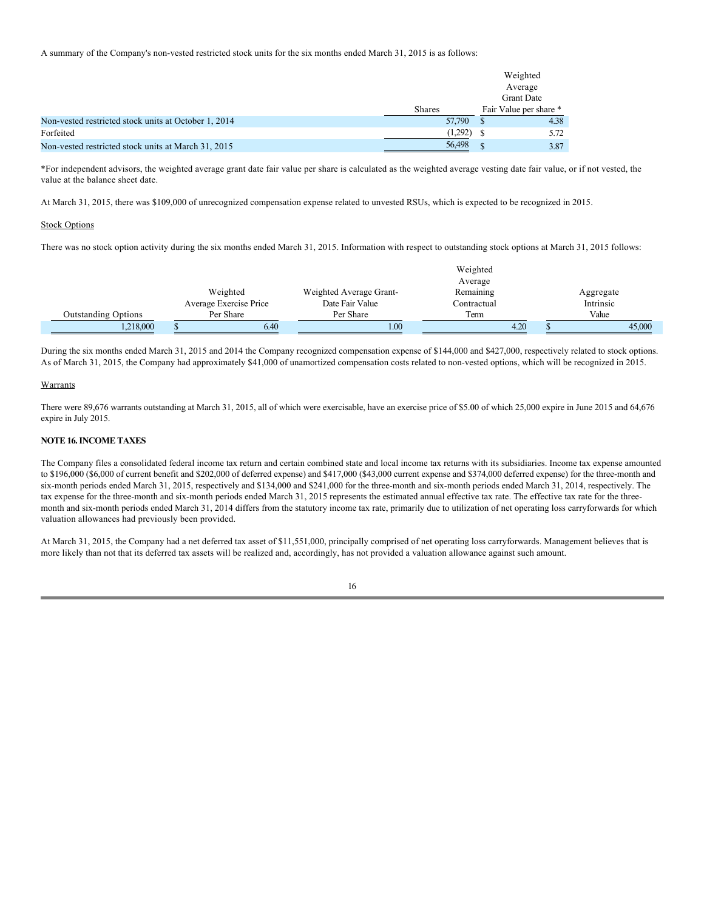A summary of the Company's non-vested restricted stock units for the six months ended March 31, 2015 is as follows:

|                                                      |               | Weighted               |      |
|------------------------------------------------------|---------------|------------------------|------|
|                                                      |               | Average                |      |
|                                                      |               | <b>Grant Date</b>      |      |
|                                                      | <b>Shares</b> | Fair Value per share * |      |
| Non-vested restricted stock units at October 1, 2014 | 57,790        |                        | 4.38 |
| Forfeited                                            | (1.292)       |                        | 5.72 |
| Non-vested restricted stock units at March 31, 2015  | 56,498        |                        | 3.87 |

\*For independent advisors, the weighted average grant date fair value per share is calculated as the weighted average vesting date fair value, or if not vested, the value at the balance sheet date.

At March 31, 2015, there was \$109,000 of unrecognized compensation expense related to unvested RSUs, which is expected to be recognized in 2015.

### Stock Options

There was no stock option activity during the six months ended March 31, 2015. Information with respect to outstanding stock options at March 31, 2015 follows:

|                            |                        |                         | Weighted<br>Average |           |        |
|----------------------------|------------------------|-------------------------|---------------------|-----------|--------|
|                            | Weighted               | Weighted Average Grant- | Remaining           | Aggregate |        |
|                            | Average Exercise Price | Date Fair Value         | Contractual         | Intrinsic |        |
| <b>Outstanding Options</b> | Per Share              | Per Share               | Term                | Value     |        |
| ,218,000                   | 6.40                   | 1.00                    | 4.20                |           | 45,000 |

During the six months ended March 31, 2015 and 2014 the Company recognized compensation expense of \$144,000 and \$427,000, respectively related to stock options. As of March 31, 2015, the Company had approximately \$41,000 of unamortized compensation costs related to non-vested options, which will be recognized in 2015.

#### Warrants

There were 89,676 warrants outstanding at March 31, 2015, all of which were exercisable, have an exercise price of \$5.00 of which 25,000 expire in June 2015 and 64,676 expire in July 2015.

# **NOTE 16. INCOME TAXES**

The Company files a consolidated federal income tax return and certain combined state and local income tax returns with its subsidiaries. Income tax expense amounted to \$196,000 (\$6,000 of current benefit and \$202,000 of deferred expense) and \$417,000 (\$43,000 current expense and \$374,000 deferred expense) for the three-month and six-month periods ended March 31, 2015, respectively and \$134,000 and \$241,000 for the three-month and six-month periods ended March 31, 2014, respectively. The tax expense for the three-month and six-month periods ended March 31, 2015 represents the estimated annual effective tax rate. The effective tax rate for the threemonth and six-month periods ended March 31, 2014 differs from the statutory income tax rate, primarily due to utilization of net operating loss carryforwards for which valuation allowances had previously been provided.

At March 31, 2015, the Company had a net deferred tax asset of \$11,551,000, principally comprised of net operating loss carryforwards. Management believes that is more likely than not that its deferred tax assets will be realized and, accordingly, has not provided a valuation allowance against such amount.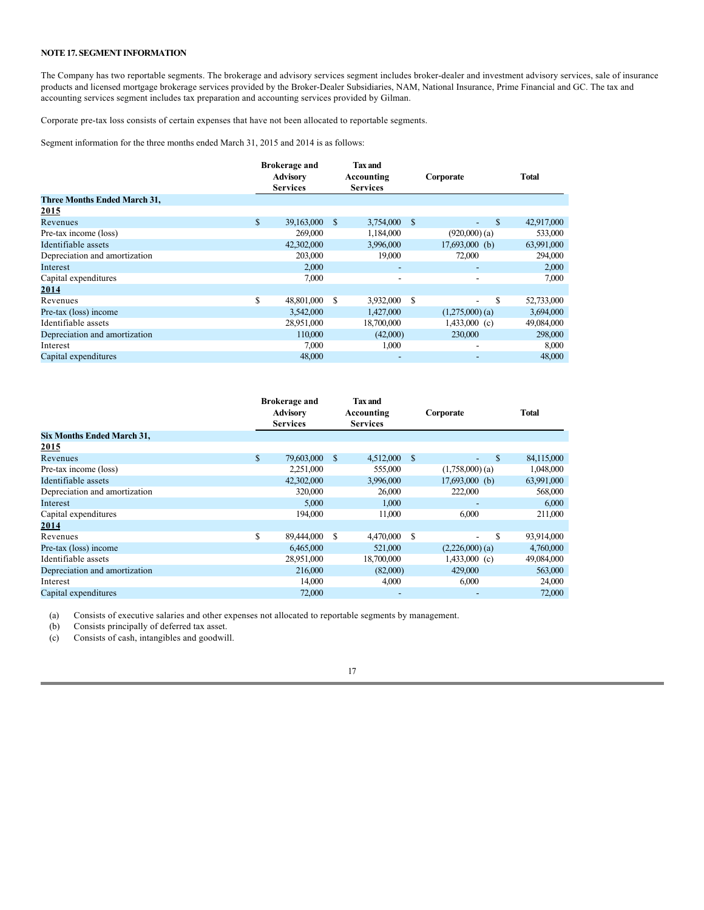# **NOTE 17. SEGMENT INFORMATION**

The Company has two reportable segments. The brokerage and advisory services segment includes broker-dealer and investment advisory services, sale of insurance products and licensed mortgage brokerage services provided by the Broker-Dealer Subsidiaries, NAM, National Insurance, Prime Financial and GC. The tax and accounting services segment includes tax preparation and accounting services provided by Gilman.

Corporate pre-tax loss consists of certain expenses that have not been allocated to reportable segments.

Segment information for the three months ended March 31, 2015 and 2014 is as follows:

|                                     | <b>Brokerage and</b><br><b>Advisory</b><br><b>Services</b> | Tax and<br>Accounting<br><b>Services</b> |            |               | Corporate         | Total      |
|-------------------------------------|------------------------------------------------------------|------------------------------------------|------------|---------------|-------------------|------------|
| <b>Three Months Ended March 31,</b> |                                                            |                                          |            |               |                   |            |
| 2015                                |                                                            |                                          |            |               |                   |            |
| Revenues                            | \$<br>39,163,000                                           | <sup>\$</sup>                            | 3,754,000  | <sup>\$</sup> | \$                | 42,917,000 |
| Pre-tax income (loss)               | 269,000                                                    |                                          | 1,184,000  |               | $(920,000)$ $(a)$ | 533,000    |
| Identifiable assets                 | 42,302,000                                                 |                                          | 3,996,000  |               | $17,693,000$ (b)  | 63,991,000 |
| Depreciation and amortization       | 203,000                                                    |                                          | 19,000     |               | 72,000            | 294,000    |
| Interest                            | 2,000                                                      |                                          |            |               |                   | 2,000      |
| Capital expenditures                | 7,000                                                      |                                          | ۰          |               |                   | 7,000      |
| 2014                                |                                                            |                                          |            |               |                   |            |
| Revenues                            | \$<br>48,801,000                                           | <sup>\$</sup>                            | 3,932,000  | \$            | \$<br>۰           | 52,733,000 |
| Pre-tax (loss) income               | 3,542,000                                                  |                                          | 1,427,000  |               | $(1,275,000)$ (a) | 3,694,000  |
| Identifiable assets                 | 28,951,000                                                 |                                          | 18,700,000 |               | $1,433,000$ (c)   | 49,084,000 |
| Depreciation and amortization       | 110,000                                                    |                                          | (42,000)   |               | 230,000           | 298,000    |
| Interest                            | 7,000                                                      |                                          | 1,000      |               |                   | 8,000      |
| Capital expenditures                | 48,000                                                     |                                          |            |               |                   | 48,000     |

|                                   | <b>Brokerage and</b><br><b>Advisory</b><br><b>Services</b> | <b>Tax and</b><br>Accounting<br><b>Services</b> |            |              | Corporate         | Total      |
|-----------------------------------|------------------------------------------------------------|-------------------------------------------------|------------|--------------|-------------------|------------|
| <b>Six Months Ended March 31,</b> |                                                            |                                                 |            |              |                   |            |
| 2015                              |                                                            |                                                 |            |              |                   |            |
| Revenues                          | \$<br>79,603,000                                           | \$                                              | 4,512,000  | <sup>S</sup> | \$                | 84,115,000 |
| Pre-tax income (loss)             | 2,251,000                                                  |                                                 | 555,000    |              | $(1,758,000)$ (a) | 1,048,000  |
| Identifiable assets               | 42,302,000                                                 |                                                 | 3,996,000  |              | $17,693,000$ (b)  | 63,991,000 |
| Depreciation and amortization     | 320,000                                                    |                                                 | 26,000     |              | 222,000           | 568,000    |
| Interest                          | 5,000                                                      |                                                 | 1,000      |              |                   | 6,000      |
| Capital expenditures              | 194,000                                                    |                                                 | 11,000     |              | 6,000             | 211,000    |
| 2014                              |                                                            |                                                 |            |              |                   |            |
| Revenues                          | \$<br>89,444,000                                           | \$                                              | 4,470,000  | \$.          | S                 | 93,914,000 |
| Pre-tax (loss) income             | 6,465,000                                                  |                                                 | 521,000    |              | $(2,226,000)$ (a) | 4,760,000  |
| Identifiable assets               | 28,951,000                                                 |                                                 | 18,700,000 |              | $1,433,000$ (c)   | 49,084,000 |
| Depreciation and amortization     | 216,000                                                    |                                                 | (82,000)   |              | 429,000           | 563,000    |
| Interest                          | 14,000                                                     |                                                 | 4,000      |              | 6,000             | 24,000     |
| Capital expenditures              | 72,000                                                     |                                                 |            |              |                   | 72,000     |

(a) Consists of executive salaries and other expenses not allocated to reportable segments by management.

(b) Consists principally of deferred tax asset.<br>(c) Consists of cash, intangibles and goodwil

Consists of cash, intangibles and goodwill.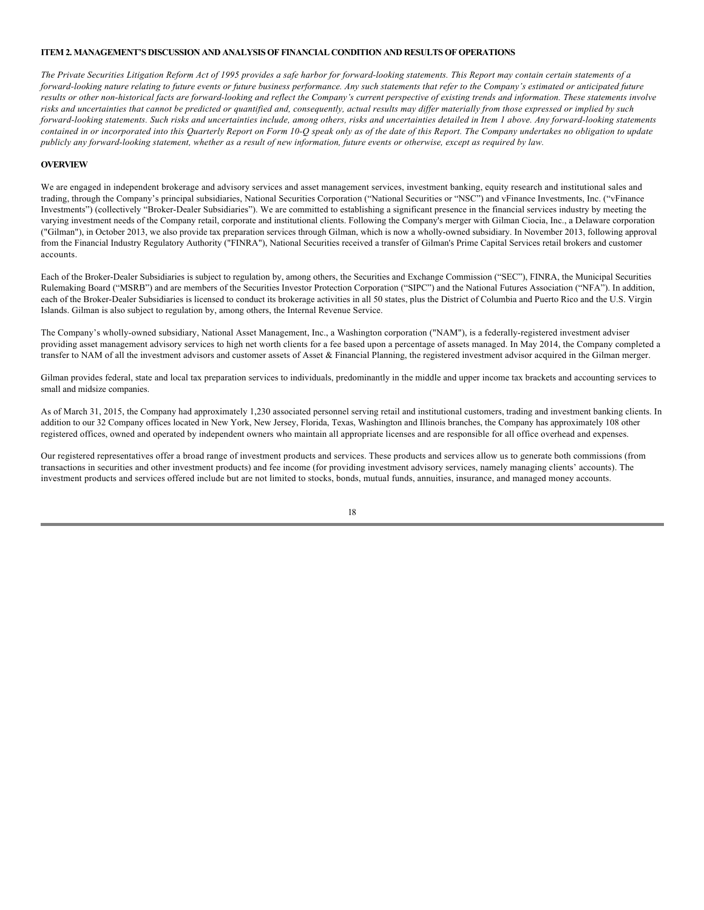### **ITEM 2. MANAGEMENT'S DISCUSSION AND ANALYSIS OF FINANCIAL CONDITION AND RESULTS OF OPERATIONS**

*The Private Securities Litigation Reform Act of 1995 provides a safe harbor for forward-looking statements. This Report may contain certain statements of a forward-looking nature relating to future events or future business performance. Any such statements that refer to the Company's estimated or anticipated future results or other non-historical facts are forward-looking and reflect the Company's current perspective of existing trends and information. These statements involve risks and uncertainties that cannot be predicted or quantified and, consequently, actual results may differ materially from those expressed or implied by such forward-looking statements. Such risks and uncertainties include, among others, risks and uncertainties detailed in Item 1 above. Any forward-looking statements contained in or incorporated into this Quarterly Report on Form 10-Q speak only as of the date of this Report. The Company undertakes no obligation to update publicly any forward-looking statement, whether as a result of new information, future events or otherwise, except as required by law.*

### **OVERVIEW**

We are engaged in independent brokerage and advisory services and asset management services, investment banking, equity research and institutional sales and trading, through the Company's principal subsidiaries, National Securities Corporation ("National Securities or "NSC") and vFinance Investments, Inc. ("vFinance Investments") (collectively "Broker-Dealer Subsidiaries"). We are committed to establishing a significant presence in the financial services industry by meeting the varying investment needs of the Company retail, corporate and institutional clients. Following the Company's merger with Gilman Ciocia, Inc., a Delaware corporation ("Gilman"), in October 2013, we also provide tax preparation services through Gilman, which is now a wholly-owned subsidiary. In November 2013, following approval from the Financial Industry Regulatory Authority ("FINRA"), National Securities received a transfer of Gilman's Prime Capital Services retail brokers and customer accounts.

Each of the Broker-Dealer Subsidiaries is subject to regulation by, among others, the Securities and Exchange Commission ("SEC"), FINRA, the Municipal Securities Rulemaking Board ("MSRB") and are members of the Securities Investor Protection Corporation ("SIPC") and the National Futures Association ("NFA"). In addition, each of the Broker-Dealer Subsidiaries is licensed to conduct its brokerage activities in all 50 states, plus the District of Columbia and Puerto Rico and the U.S. Virgin Islands. Gilman is also subject to regulation by, among others, the Internal Revenue Service.

The Company's wholly-owned subsidiary, National Asset Management, Inc., a Washington corporation ("NAM"), is a federally-registered investment adviser providing asset management advisory services to high net worth clients for a fee based upon a percentage of assets managed. In May 2014, the Company completed a transfer to NAM of all the investment advisors and customer assets of Asset & Financial Planning, the registered investment advisor acquired in the Gilman merger.

Gilman provides federal, state and local tax preparation services to individuals, predominantly in the middle and upper income tax brackets and accounting services to small and midsize companies.

As of March 31, 2015, the Company had approximately 1,230 associated personnel serving retail and institutional customers, trading and investment banking clients. In addition to our 32 Company offices located in New York, New Jersey, Florida, Texas, Washington and Illinois branches, the Company has approximately 108 other registered offices, owned and operated by independent owners who maintain all appropriate licenses and are responsible for all office overhead and expenses.

Our registered representatives offer a broad range of investment products and services. These products and services allow us to generate both commissions (from transactions in securities and other investment products) and fee income (for providing investment advisory services, namely managing clients' accounts). The investment products and services offered include but are not limited to stocks, bonds, mutual funds, annuities, insurance, and managed money accounts.

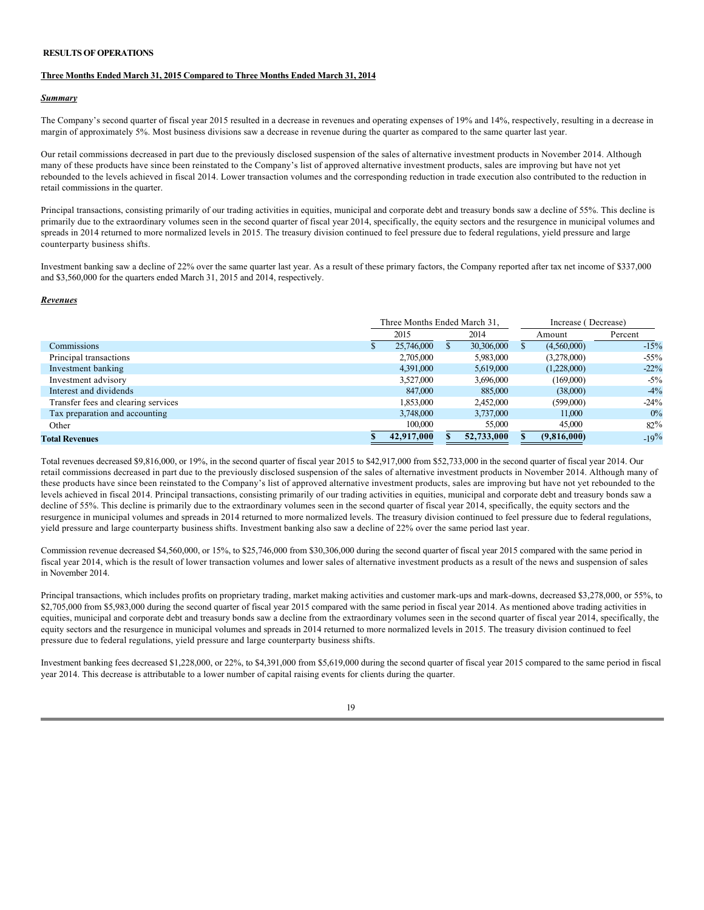### **RESULTS OF OPERATIONS**

#### **Three Months Ended March 31, 2015 Compared to Three Months Ended March 31, 2014**

#### *Summary*

The Company's second quarter of fiscal year 2015 resulted in a decrease in revenues and operating expenses of 19% and 14%, respectively, resulting in a decrease in margin of approximately 5%. Most business divisions saw a decrease in revenue during the quarter as compared to the same quarter last year.

Our retail commissions decreased in part due to the previously disclosed suspension of the sales of alternative investment products in November 2014. Although many of these products have since been reinstated to the Company's list of approved alternative investment products, sales are improving but have not yet rebounded to the levels achieved in fiscal 2014. Lower transaction volumes and the corresponding reduction in trade execution also contributed to the reduction in retail commissions in the quarter.

Principal transactions, consisting primarily of our trading activities in equities, municipal and corporate debt and treasury bonds saw a decline of 55%. This decline is primarily due to the extraordinary volumes seen in the second quarter of fiscal year 2014, specifically, the equity sectors and the resurgence in municipal volumes and spreads in 2014 returned to more normalized levels in 2015. The treasury division continued to feel pressure due to federal regulations, yield pressure and large counterparty business shifts.

Investment banking saw a decline of 22% over the same quarter last year. As a result of these primary factors, the Company reported after tax net income of \$337,000 and \$3,560,000 for the quarters ended March 31, 2015 and 2014, respectively.

#### *Revenues*

|                                     | Three Months Ended March 31. |            |  |            | Increase (Decrease) |             |         |  |  |  |  |  |  |  |  |  |  |  |  |  |  |  |  |  |  |      |  |  |  |  |  |  |  |        |         |
|-------------------------------------|------------------------------|------------|--|------------|---------------------|-------------|---------|--|--|--|--|--|--|--|--|--|--|--|--|--|--|--|--|--|--|------|--|--|--|--|--|--|--|--------|---------|
|                                     |                              | 2015       |  |            |                     |             |         |  |  |  |  |  |  |  |  |  |  |  |  |  |  |  |  |  |  | 2014 |  |  |  |  |  |  |  | Amount | Percent |
| Commissions                         |                              | 25,746,000 |  | 30,306,000 |                     | (4,560,000) | $-15%$  |  |  |  |  |  |  |  |  |  |  |  |  |  |  |  |  |  |  |      |  |  |  |  |  |  |  |        |         |
| Principal transactions              |                              | 2,705,000  |  | 5,983,000  |                     | (3,278,000) | $-55\%$ |  |  |  |  |  |  |  |  |  |  |  |  |  |  |  |  |  |  |      |  |  |  |  |  |  |  |        |         |
| Investment banking                  |                              | 4,391,000  |  | 5,619,000  |                     | (1,228,000) | $-22\%$ |  |  |  |  |  |  |  |  |  |  |  |  |  |  |  |  |  |  |      |  |  |  |  |  |  |  |        |         |
| Investment advisory                 |                              | 3,527,000  |  | 3,696,000  |                     | (169,000)   | $-5\%$  |  |  |  |  |  |  |  |  |  |  |  |  |  |  |  |  |  |  |      |  |  |  |  |  |  |  |        |         |
| Interest and dividends              |                              | 847,000    |  | 885,000    |                     | (38,000)    | $-4%$   |  |  |  |  |  |  |  |  |  |  |  |  |  |  |  |  |  |  |      |  |  |  |  |  |  |  |        |         |
| Transfer fees and clearing services |                              | 1,853,000  |  | 2.452,000  |                     | (599,000)   | $-24%$  |  |  |  |  |  |  |  |  |  |  |  |  |  |  |  |  |  |  |      |  |  |  |  |  |  |  |        |         |
| Tax preparation and accounting      |                              | 3,748,000  |  | 3,737,000  |                     | 11,000      | 0%      |  |  |  |  |  |  |  |  |  |  |  |  |  |  |  |  |  |  |      |  |  |  |  |  |  |  |        |         |
| Other                               |                              | 100,000    |  | 55,000     |                     | 45,000      | 82%     |  |  |  |  |  |  |  |  |  |  |  |  |  |  |  |  |  |  |      |  |  |  |  |  |  |  |        |         |
| <b>Total Revenues</b>               |                              | 42.917.000 |  | 52,733,000 |                     | (9,816,000) | $-19\%$ |  |  |  |  |  |  |  |  |  |  |  |  |  |  |  |  |  |  |      |  |  |  |  |  |  |  |        |         |

Total revenues decreased \$9,816,000, or 19%, in the second quarter of fiscal year 2015 to \$42,917,000 from \$52,733,000 in the second quarter of fiscal year 2014. Our retail commissions decreased in part due to the previously disclosed suspension of the sales of alternative investment products in November 2014. Although many of these products have since been reinstated to the Company's list of approved alternative investment products, sales are improving but have not yet rebounded to the levels achieved in fiscal 2014. Principal transactions, consisting primarily of our trading activities in equities, municipal and corporate debt and treasury bonds saw a decline of 55%. This decline is primarily due to the extraordinary volumes seen in the second quarter of fiscal year 2014, specifically, the equity sectors and the resurgence in municipal volumes and spreads in 2014 returned to more normalized levels. The treasury division continued to feel pressure due to federal regulations, yield pressure and large counterparty business shifts. Investment banking also saw a decline of 22% over the same period last year.

Commission revenue decreased \$4,560,000, or 15%, to \$25,746,000 from \$30,306,000 during the second quarter of fiscal year 2015 compared with the same period in fiscal year 2014, which is the result of lower transaction volumes and lower sales of alternative investment products as a result of the news and suspension of sales in November 2014.

Principal transactions, which includes profits on proprietary trading, market making activities and customer mark-ups and mark-downs, decreased \$3,278,000, or 55%, to \$2,705,000 from \$5,983,000 during the second quarter of fiscal year 2015 compared with the same period in fiscal year 2014. As mentioned above trading activities in equities, municipal and corporate debt and treasury bonds saw a decline from the extraordinary volumes seen in the second quarter of fiscal year 2014, specifically, the equity sectors and the resurgence in municipal volumes and spreads in 2014 returned to more normalized levels in 2015. The treasury division continued to feel pressure due to federal regulations, yield pressure and large counterparty business shifts.

Investment banking fees decreased \$1,228,000, or 22%, to \$4,391,000 from \$5,619,000 during the second quarter of fiscal year 2015 compared to the same period in fiscal year 2014. This decrease is attributable to a lower number of capital raising events for clients during the quarter.

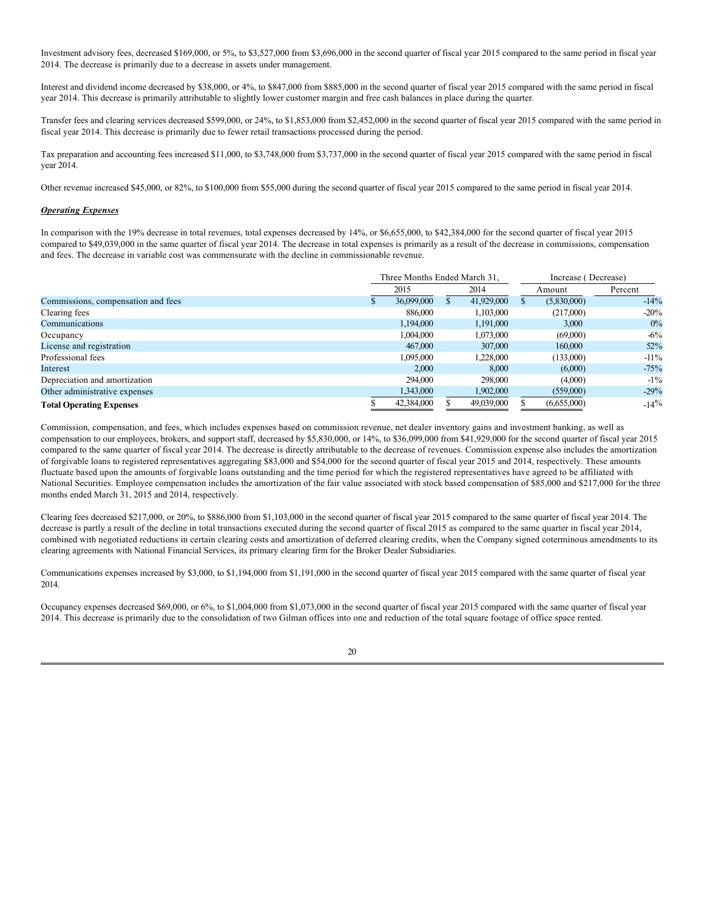Investment advisory fees, decreased \$169,000, or 5%, to \$3,527,000 from \$3,696,000 in the second quarter of fiscal year 2015 compared to the same period in fiscal year 2014. The decrease is primarily due to a decrease in assets under management.

Interest and dividend income decreased by \$38,000, or 4%, to \$847,000 from \$885,000 in the second quarter of fiscal year 2015 compared with the same period in fiscal year 2014. This decrease is primarily attributable to slightly lower customer margin and free cash balances in place during the quarter.

Transfer fees and clearing services decreased \$599,000, or 24%, to \$1,853,000 from \$2,452,000 in the second quarter of fiscal year 2015 compared with the same period in fiscal year 2014. This decrease is primarily due to fewer retail transactions processed during the period.

Tax preparation and accounting fees increased \$11,000, to \$3,748,000 from \$3,737,000 in the second quarter of fiscal year 2015 compared with the same period in fiscal year 2014.

Other revenue increased \$45,000, or 82%, to \$100,000 from \$55,000 during the second quarter of fiscal year 2015 compared to the same period in fiscal year 2014.

#### *Operating Expenses*

In comparison with the 19% decrease in total revenues, total expenses decreased by 14%, or \$6,655,000, to \$42,384,000 for the second quarter of fiscal year 2015 compared to \$49,039,000 in the same quarter of fiscal year 2014. The decrease in total expenses is primarily as a result of the decrease in commissions, compensation and fees. The decrease in variable cost was commensurate with the decline in commissionable revenue.

|                                    | Three Months Ended March 31. |            |  |            |  | Increase (Decrease) |         |  |
|------------------------------------|------------------------------|------------|--|------------|--|---------------------|---------|--|
|                                    |                              | 2015       |  | 2014       |  | Amount              | Percent |  |
| Commissions, compensation and fees |                              | 36,099,000 |  | 41,929,000 |  | (5,830,000)         | $-14%$  |  |
| Clearing fees                      |                              | 886,000    |  | 1,103,000  |  | (217,000)           | $-20%$  |  |
| Communications                     |                              | 1,194,000  |  | 1,191,000  |  | 3,000               | $0\%$   |  |
| Occupancy                          |                              | 1.004.000  |  | 1,073,000  |  | (69,000)            | $-6\%$  |  |
| License and registration           |                              | 467,000    |  | 307,000    |  | 160,000             | 52%     |  |
| Professional fees                  |                              | 1,095,000  |  | 1,228,000  |  | (133,000)           | $-11\%$ |  |
| Interest                           |                              | 2,000      |  | 8,000      |  | (6,000)             | $-75%$  |  |
| Depreciation and amortization      |                              | 294,000    |  | 298,000    |  | (4,000)             | $-1\%$  |  |
| Other administrative expenses      |                              | 1,343,000  |  | 1,902,000  |  | (559,000)           | $-29%$  |  |
| <b>Total Operating Expenses</b>    |                              | 42,384,000 |  | 49,039,000 |  | (6,655,000)         | $-14\%$ |  |

Commission, compensation, and fees, which includes expenses based on commission revenue, net dealer inventory gains and investment banking, as well as compensation to our employees, brokers, and support staff, decreased by \$5,830,000, or 14%, to \$36,099,000 from \$41,929,000 for the second quarter of fiscal year 2015 compared to the same quarter of fiscal year 2014. The decrease is directly attributable to the decrease of revenues. Commission expense also includes the amortization of forgivable loans to registered representatives aggregating \$83,000 and \$54,000 for the second quarter of fiscal year 2015 and 2014, respectively. These amounts fluctuate based upon the amounts of forgivable loans outstanding and the time period for which the registered representatives have agreed to be affiliated with National Securities. Employee compensation includes the amortization of the fair value associated with stock based compensation of \$85,000 and \$217,000 for the three months ended March 31, 2015 and 2014, respectively.

Clearing fees decreased \$217,000, or 20%, to \$886,000 from \$1,103,000 in the second quarter of fiscal year 2015 compared to the same quarter of fiscal year 2014. The decrease is partly a result of the decline in total transactions executed during the second quarter of fiscal 2015 as compared to the same quarter in fiscal year 2014, combined with negotiated reductions in certain clearing costs and amortization of deferred clearing credits, when the Company signed coterminous amendments to its clearing agreements with National Financial Services, its primary clearing firm for the Broker Dealer Subsidiaries.

Communications expenses increased by \$3,000, to \$1,194,000 from \$1,191,000 in the second quarter of fiscal year 2015 compared with the same quarter of fiscal year 2014.

Occupancy expenses decreased \$69,000, or 6%, to \$1,004,000 from \$1,073,000 in the second quarter of fiscal year 2015 compared with the same quarter of fiscal year 2014. This decrease is primarily due to the consolidation of two Gilman offices into one and reduction of the total square footage of office space rented.

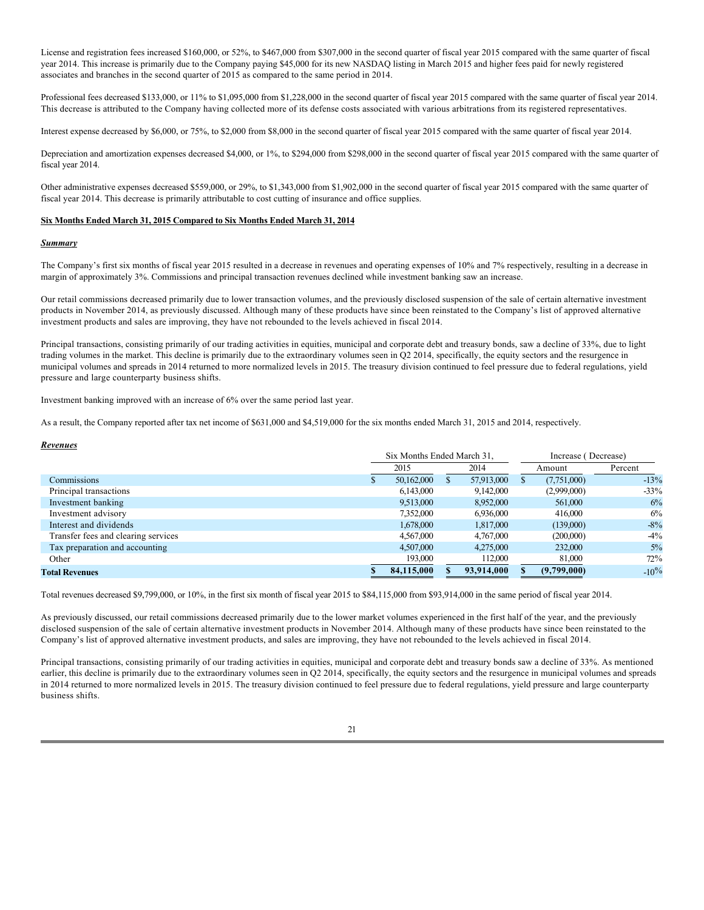License and registration fees increased \$160,000, or 52%, to \$467,000 from \$307,000 in the second quarter of fiscal year 2015 compared with the same quarter of fiscal year 2014. This increase is primarily due to the Company paying \$45,000 for its new NASDAQ listing in March 2015 and higher fees paid for newly registered associates and branches in the second quarter of 2015 as compared to the same period in 2014.

Professional fees decreased \$133,000, or 11% to \$1,095,000 from \$1,228,000 in the second quarter of fiscal year 2015 compared with the same quarter of fiscal year 2014. This decrease is attributed to the Company having collected more of its defense costs associated with various arbitrations from its registered representatives.

Interest expense decreased by \$6,000, or 75%, to \$2,000 from \$8,000 in the second quarter of fiscal year 2015 compared with the same quarter of fiscal year 2014.

Depreciation and amortization expenses decreased \$4,000, or 1%, to \$294,000 from \$298,000 in the second quarter of fiscal year 2015 compared with the same quarter of fiscal year 2014.

Other administrative expenses decreased \$559,000, or 29%, to \$1,343,000 from \$1,902,000 in the second quarter of fiscal year 2015 compared with the same quarter of fiscal year 2014. This decrease is primarily attributable to cost cutting of insurance and office supplies.

#### **Six Months Ended March 31, 2015 Compared to Six Months Ended March 31, 2014**

#### *Summary*

The Company's first six months of fiscal year 2015 resulted in a decrease in revenues and operating expenses of 10% and 7% respectively, resulting in a decrease in margin of approximately 3%. Commissions and principal transaction revenues declined while investment banking saw an increase.

Our retail commissions decreased primarily due to lower transaction volumes, and the previously disclosed suspension of the sale of certain alternative investment products in November 2014, as previously discussed. Although many of these products have since been reinstated to the Company's list of approved alternative investment products and sales are improving, they have not rebounded to the levels achieved in fiscal 2014.

Principal transactions, consisting primarily of our trading activities in equities, municipal and corporate debt and treasury bonds, saw a decline of 33%, due to light trading volumes in the market. This decline is primarily due to the extraordinary volumes seen in Q2 2014, specifically, the equity sectors and the resurgence in municipal volumes and spreads in 2014 returned to more normalized levels in 2015. The treasury division continued to feel pressure due to federal regulations, yield pressure and large counterparty business shifts.

Investment banking improved with an increase of 6% over the same period last year.

As a result, the Company reported after tax net income of \$631,000 and \$4,519,000 for the six months ended March 31, 2015 and 2014, respectively.

# *Revenues* Six Months Ended March 31, Increase ( Decrease) 2015 2014 Amount Percent Commissions \$ 50,162,000 \$ 57,913,000 \$ (7,751,000) -13% Principal transactions 6,143,000 9,142,000 9,142,000 (2,999,000) -33% Investment banking 6% and the extension of the extension of the extension of the extension of the extension of the extension of the extension of the extension of the extension of the extension of the extension of the exten Investment advisory 6% and the state of the state of the state of the state of the state of the state of the state of the state of the state of the state of the state of the state of the state of the state of the state of Interest and dividends 1,678,000 1,817,000 (139,000) -8% Transfer fees and clearing services  $4,567,000$   $4,767,000$   $(200,000)$   $40\%$ Tax preparation and accounting the three counting the term of the term of the 4,507,000 4,275,000 232,000 5% Other 193,000 112,000 81,000 72% **Total Revenues \$ 84,115,000 \$ 93,914,000 \$ (9,799,000)** -10%

Total revenues decreased \$9,799,000, or 10%, in the first six month of fiscal year 2015 to \$84,115,000 from \$93,914,000 in the same period of fiscal year 2014.

As previously discussed, our retail commissions decreased primarily due to the lower market volumes experienced in the first half of the year, and the previously disclosed suspension of the sale of certain alternative investment products in November 2014. Although many of these products have since been reinstated to the Company's list of approved alternative investment products, and sales are improving, they have not rebounded to the levels achieved in fiscal 2014.

Principal transactions, consisting primarily of our trading activities in equities, municipal and corporate debt and treasury bonds saw a decline of 33%. As mentioned earlier, this decline is primarily due to the extraordinary volumes seen in Q2 2014, specifically, the equity sectors and the resurgence in municipal volumes and spreads in 2014 returned to more normalized levels in 2015. The treasury division continued to feel pressure due to federal regulations, yield pressure and large counterparty business shifts.

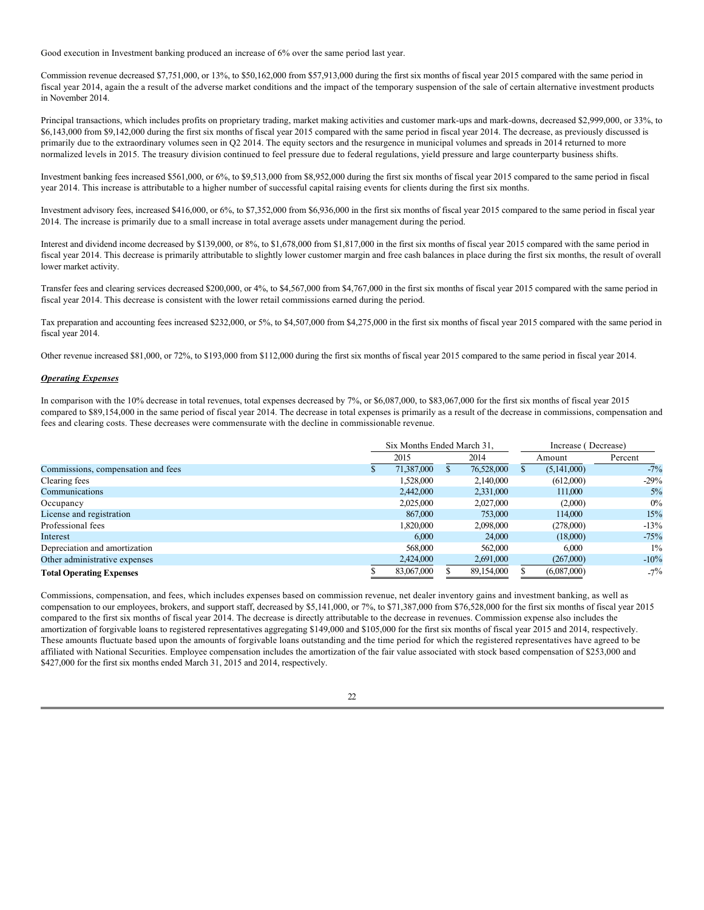Good execution in Investment banking produced an increase of 6% over the same period last year.

Commission revenue decreased \$7,751,000, or 13%, to \$50,162,000 from \$57,913,000 during the first six months of fiscal year 2015 compared with the same period in fiscal year 2014, again the a result of the adverse market conditions and the impact of the temporary suspension of the sale of certain alternative investment products in November 2014.

Principal transactions, which includes profits on proprietary trading, market making activities and customer mark-ups and mark-downs, decreased \$2,999,000, or 33%, to \$6,143,000 from \$9,142,000 during the first six months of fiscal year 2015 compared with the same period in fiscal year 2014. The decrease, as previously discussed is primarily due to the extraordinary volumes seen in Q2 2014. The equity sectors and the resurgence in municipal volumes and spreads in 2014 returned to more normalized levels in 2015. The treasury division continued to feel pressure due to federal regulations, yield pressure and large counterparty business shifts.

Investment banking fees increased \$561,000, or 6%, to \$9,513,000 from \$8,952,000 during the first six months of fiscal year 2015 compared to the same period in fiscal year 2014. This increase is attributable to a higher number of successful capital raising events for clients during the first six months.

Investment advisory fees, increased \$416,000, or 6%, to \$7,352,000 from \$6,936,000 in the first six months of fiscal year 2015 compared to the same period in fiscal year 2014. The increase is primarily due to a small increase in total average assets under management during the period.

Interest and dividend income decreased by \$139,000, or 8%, to \$1,678,000 from \$1,817,000 in the first six months of fiscal year 2015 compared with the same period in fiscal year 2014. This decrease is primarily attributable to slightly lower customer margin and free cash balances in place during the first six months, the result of overall lower market activity.

Transfer fees and clearing services decreased \$200,000, or 4%, to \$4,567,000 from \$4,767,000 in the first six months of fiscal year 2015 compared with the same period in fiscal year 2014. This decrease is consistent with the lower retail commissions earned during the period.

Tax preparation and accounting fees increased \$232,000, or 5%, to \$4,507,000 from \$4,275,000 in the first six months of fiscal year 2015 compared with the same period in fiscal year 2014.

Other revenue increased \$81,000, or 72%, to \$193,000 from \$112,000 during the first six months of fiscal year 2015 compared to the same period in fiscal year 2014.

#### *Operating Expenses*

In comparison with the 10% decrease in total revenues, total expenses decreased by 7%, or \$6,087,000, to \$83,067,000 for the first six months of fiscal year 2015 compared to \$89,154,000 in the same period of fiscal year 2014. The decrease in total expenses is primarily as a result of the decrease in commissions, compensation and fees and clearing costs. These decreases were commensurate with the decline in commissionable revenue.

|                                    | Six Months Ended March 31. |            |  |            |           | Increase (Decrease) |         |  |
|------------------------------------|----------------------------|------------|--|------------|-----------|---------------------|---------|--|
|                                    |                            | 2015       |  | 2014       |           | Amount              | Percent |  |
| Commissions, compensation and fees |                            | 71,387,000 |  | 76,528,000 | <b>JD</b> | (5,141,000)         | $-7\%$  |  |
| Clearing fees                      |                            | 1,528,000  |  | 2,140,000  |           | (612,000)           | $-29\%$ |  |
| Communications                     |                            | 2,442,000  |  | 2,331,000  |           | 111.000             | 5%      |  |
| Occupancy                          |                            | 2,025,000  |  | 2,027,000  |           | (2,000)             | $0\%$   |  |
| License and registration           |                            | 867,000    |  | 753,000    |           | 114,000             | 15%     |  |
| Professional fees                  |                            | 1.820.000  |  | 2,098,000  |           | (278,000)           | $-13%$  |  |
| Interest                           |                            | 6.000      |  | 24,000     |           | (18,000)            | $-75%$  |  |
| Depreciation and amortization      |                            | 568,000    |  | 562,000    |           | 6,000               | $1\%$   |  |
| Other administrative expenses      |                            | 2,424,000  |  | 2,691,000  |           | (267,000)           | $-10\%$ |  |
| <b>Total Operating Expenses</b>    |                            | 83,067,000 |  | 89,154,000 |           | (6,087,000)         | $-7\%$  |  |

Commissions, compensation, and fees, which includes expenses based on commission revenue, net dealer inventory gains and investment banking, as well as compensation to our employees, brokers, and support staff, decreased by \$5,141,000, or 7%, to \$71,387,000 from \$76,528,000 for the first six months of fiscal year 2015 compared to the first six months of fiscal year 2014. The decrease is directly attributable to the decrease in revenues. Commission expense also includes the amortization of forgivable loans to registered representatives aggregating \$149,000 and \$105,000 for the first six months of fiscal year 2015 and 2014, respectively. These amounts fluctuate based upon the amounts of forgivable loans outstanding and the time period for which the registered representatives have agreed to be affiliated with National Securities. Employee compensation includes the amortization of the fair value associated with stock based compensation of \$253,000 and \$427,000 for the first six months ended March 31, 2015 and 2014, respectively.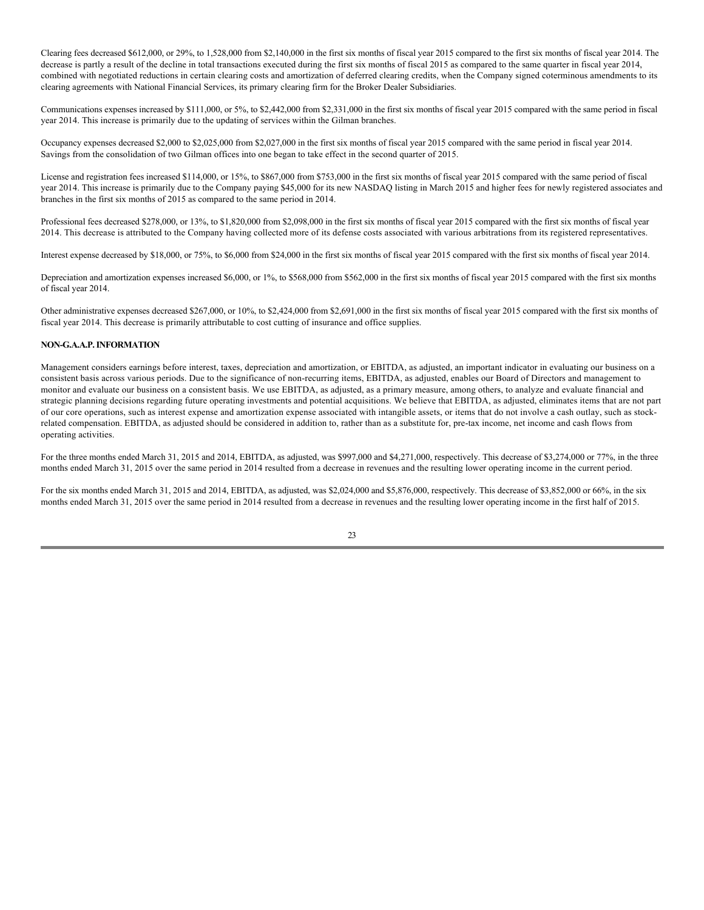Clearing fees decreased \$612,000, or 29%, to 1,528,000 from \$2,140,000 in the first six months of fiscal year 2015 compared to the first six months of fiscal year 2014. The decrease is partly a result of the decline in total transactions executed during the first six months of fiscal 2015 as compared to the same quarter in fiscal year 2014, combined with negotiated reductions in certain clearing costs and amortization of deferred clearing credits, when the Company signed coterminous amendments to its clearing agreements with National Financial Services, its primary clearing firm for the Broker Dealer Subsidiaries.

Communications expenses increased by \$111,000, or 5%, to \$2,442,000 from \$2,331,000 in the first six months of fiscal year 2015 compared with the same period in fiscal year 2014. This increase is primarily due to the updating of services within the Gilman branches.

Occupancy expenses decreased \$2,000 to \$2,025,000 from \$2,027,000 in the first six months of fiscal year 2015 compared with the same period in fiscal year 2014. Savings from the consolidation of two Gilman offices into one began to take effect in the second quarter of 2015.

License and registration fees increased \$114,000, or 15%, to \$867,000 from \$753,000 in the first six months of fiscal year 2015 compared with the same period of fiscal year 2014. This increase is primarily due to the Company paying \$45,000 for its new NASDAQ listing in March 2015 and higher fees for newly registered associates and branches in the first six months of 2015 as compared to the same period in 2014.

Professional fees decreased \$278,000, or 13%, to \$1,820,000 from \$2,098,000 in the first six months of fiscal year 2015 compared with the first six months of fiscal year 2014. This decrease is attributed to the Company having collected more of its defense costs associated with various arbitrations from its registered representatives.

Interest expense decreased by \$18,000, or 75%, to \$6,000 from \$24,000 in the first six months of fiscal year 2015 compared with the first six months of fiscal year 2014.

Depreciation and amortization expenses increased \$6,000, or 1%, to \$568,000 from \$562,000 in the first six months of fiscal year 2015 compared with the first six months of fiscal year 2014.

Other administrative expenses decreased \$267,000, or 10%, to \$2,424,000 from \$2,691,000 in the first six months of fiscal year 2015 compared with the first six months of fiscal year 2014. This decrease is primarily attributable to cost cutting of insurance and office supplies.

#### **NON-G.A.A.P. INFORMATION**

Management considers earnings before interest, taxes, depreciation and amortization, or EBITDA, as adjusted, an important indicator in evaluating our business on a consistent basis across various periods. Due to the significance of non-recurring items, EBITDA, as adjusted, enables our Board of Directors and management to monitor and evaluate our business on a consistent basis. We use EBITDA, as adjusted, as a primary measure, among others, to analyze and evaluate financial and strategic planning decisions regarding future operating investments and potential acquisitions. We believe that EBITDA, as adjusted, eliminates items that are not part of our core operations, such as interest expense and amortization expense associated with intangible assets, or items that do not involve a cash outlay, such as stockrelated compensation. EBITDA, as adjusted should be considered in addition to, rather than as a substitute for, pre-tax income, net income and cash flows from operating activities.

For the three months ended March 31, 2015 and 2014, EBITDA, as adjusted, was \$997,000 and \$4,271,000, respectively. This decrease of \$3,274,000 or 77%, in the three months ended March 31, 2015 over the same period in 2014 resulted from a decrease in revenues and the resulting lower operating income in the current period.

For the six months ended March 31, 2015 and 2014, EBITDA, as adjusted, was \$2,024,000 and \$5,876,000, respectively. This decrease of \$3,852,000 or 66%, in the six months ended March 31, 2015 over the same period in 2014 resulted from a decrease in revenues and the resulting lower operating income in the first half of 2015.

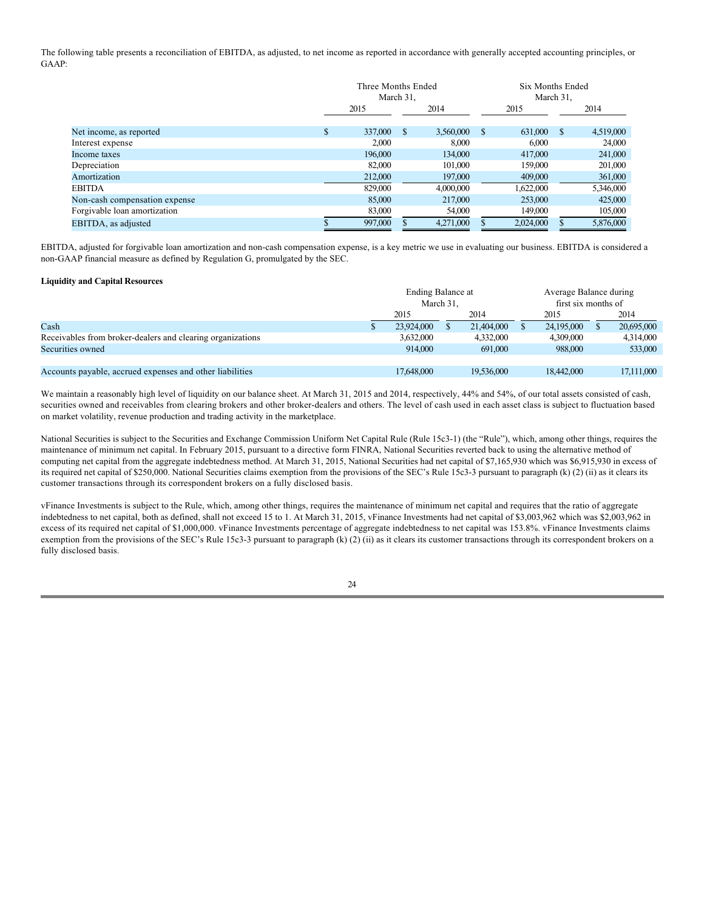The following table presents a reconciliation of EBITDA, as adjusted, to net income as reported in accordance with generally accepted accounting principles, or GAAP:

|                               | Three Months Ended<br>March 31. |         |      |           | Six Months Ended<br>March 31, |           |      |           |  |      |  |
|-------------------------------|---------------------------------|---------|------|-----------|-------------------------------|-----------|------|-----------|--|------|--|
|                               |                                 | 2015    |      | 2014      |                               |           |      | 2015      |  | 2014 |  |
| Net income, as reported       | \$                              | 337,000 | - \$ | 3,560,000 | \$                            | 631,000   | - \$ | 4,519,000 |  |      |  |
| Interest expense              |                                 | 2,000   |      | 8,000     |                               | 6,000     |      | 24,000    |  |      |  |
| Income taxes                  |                                 | 196,000 |      | 134,000   |                               | 417,000   |      | 241,000   |  |      |  |
| Depreciation                  |                                 | 82,000  |      | 101,000   |                               | 159,000   |      | 201,000   |  |      |  |
| Amortization                  |                                 | 212,000 |      | 197,000   |                               | 409,000   |      | 361,000   |  |      |  |
| <b>EBITDA</b>                 |                                 | 829,000 |      | 4,000,000 |                               | 1.622.000 |      | 5,346,000 |  |      |  |
| Non-cash compensation expense |                                 | 85,000  |      | 217,000   |                               | 253,000   |      | 425,000   |  |      |  |
| Forgivable loan amortization  |                                 | 83,000  |      | 54,000    |                               | 149,000   |      | 105,000   |  |      |  |
| EBITDA, as adjusted           |                                 | 997,000 |      | 4,271,000 |                               | 2,024,000 |      | 5,876,000 |  |      |  |

EBITDA, adjusted for forgivable loan amortization and non-cash compensation expense, is a key metric we use in evaluating our business. EBITDA is considered a non-GAAP financial measure as defined by Regulation G, promulgated by the SEC.

#### **Liquidity and Capital Resources**

|                                                            | Ending Balance at<br>March 31. |            |  |            | Average Balance during |                     |  |            |  |
|------------------------------------------------------------|--------------------------------|------------|--|------------|------------------------|---------------------|--|------------|--|
|                                                            |                                |            |  |            |                        | first six months of |  |            |  |
|                                                            |                                | 2015       |  | 2014       |                        | 2015                |  | 2014       |  |
| Cash                                                       |                                | 23.924,000 |  | 21.404,000 |                        | 24.195,000          |  | 20,695,000 |  |
| Receivables from broker-dealers and clearing organizations |                                | 3,632,000  |  | 4,332,000  |                        | 4.309,000           |  | 4,314,000  |  |
| Securities owned                                           |                                | 914,000    |  | 691,000    |                        | 988,000             |  | 533,000    |  |
|                                                            |                                |            |  |            |                        |                     |  |            |  |
| Accounts payable, accrued expenses and other liabilities   |                                | 17.648,000 |  | 19.536,000 |                        | 18,442,000          |  | 17,111,000 |  |

We maintain a reasonably high level of liquidity on our balance sheet. At March 31, 2015 and 2014, respectively, 44% and 54%, of our total assets consisted of cash, securities owned and receivables from clearing brokers and other broker-dealers and others. The level of cash used in each asset class is subject to fluctuation based on market volatility, revenue production and trading activity in the marketplace.

National Securities is subject to the Securities and Exchange Commission Uniform Net Capital Rule (Rule 15c3-1) (the "Rule"), which, among other things, requires the maintenance of minimum net capital. In February 2015, pursuant to a directive form FINRA, National Securities reverted back to using the alternative method of computing net capital from the aggregate indebtedness method. At March 31, 2015, National Securities had net capital of \$7,165,930 which was \$6,915,930 in excess of its required net capital of \$250,000. National Securities claims exemption from the provisions of the SEC's Rule 15c3-3 pursuant to paragraph (k) (2) (ii) as it clears its customer transactions through its correspondent brokers on a fully disclosed basis.

vFinance Investments is subject to the Rule, which, among other things, requires the maintenance of minimum net capital and requires that the ratio of aggregate indebtedness to net capital, both as defined, shall not exceed 15 to 1. At March 31, 2015, vFinance Investments had net capital of \$3,003,962 which was \$2,003,962 in excess of its required net capital of \$1,000,000. vFinance Investments percentage of aggregate indebtedness to net capital was 153.8%. vFinance Investments claims exemption from the provisions of the SEC's Rule 15c3-3 pursuant to paragraph (k) (2) (ii) as it clears its customer transactions through its correspondent brokers on a fully disclosed basis.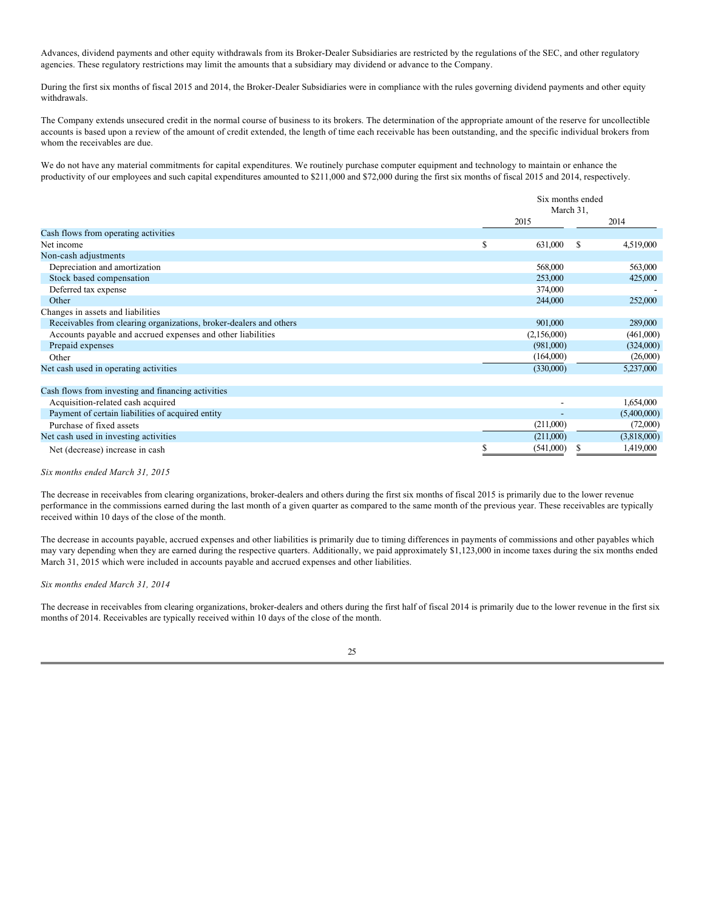Advances, dividend payments and other equity withdrawals from its Broker-Dealer Subsidiaries are restricted by the regulations of the SEC, and other regulatory agencies. These regulatory restrictions may limit the amounts that a subsidiary may dividend or advance to the Company.

During the first six months of fiscal 2015 and 2014, the Broker-Dealer Subsidiaries were in compliance with the rules governing dividend payments and other equity withdrawals.

The Company extends unsecured credit in the normal course of business to its brokers. The determination of the appropriate amount of the reserve for uncollectible accounts is based upon a review of the amount of credit extended, the length of time each receivable has been outstanding, and the specific individual brokers from whom the receivables are due.

We do not have any material commitments for capital expenditures. We routinely purchase computer equipment and technology to maintain or enhance the productivity of our employees and such capital expenditures amounted to \$211,000 and \$72,000 during the first six months of fiscal 2015 and 2014, respectively.

|                                                                    | Six months ended<br>March 31, |   |             |  |
|--------------------------------------------------------------------|-------------------------------|---|-------------|--|
|                                                                    | 2015                          |   | 2014        |  |
| Cash flows from operating activities                               |                               |   |             |  |
| Net income                                                         | \$<br>631,000                 | S | 4,519,000   |  |
| Non-cash adjustments                                               |                               |   |             |  |
| Depreciation and amortization                                      | 568,000                       |   | 563,000     |  |
| Stock based compensation                                           | 253,000                       |   | 425,000     |  |
| Deferred tax expense                                               | 374,000                       |   |             |  |
| Other                                                              | 244,000                       |   | 252,000     |  |
| Changes in assets and liabilities                                  |                               |   |             |  |
| Receivables from clearing organizations, broker-dealers and others | 901,000                       |   | 289,000     |  |
| Accounts payable and accrued expenses and other liabilities        | (2,156,000)                   |   | (461,000)   |  |
| Prepaid expenses                                                   | (981,000)                     |   | (324,000)   |  |
| Other                                                              | (164,000)                     |   | (26,000)    |  |
| Net cash used in operating activities                              | (330,000)                     |   | 5,237,000   |  |
|                                                                    |                               |   |             |  |
| Cash flows from investing and financing activities                 |                               |   |             |  |
| Acquisition-related cash acquired                                  | $\overline{\phantom{a}}$      |   | 1,654,000   |  |
| Payment of certain liabilities of acquired entity                  |                               |   | (5,400,000) |  |
| Purchase of fixed assets                                           | (211,000)                     |   | (72,000)    |  |
| Net cash used in investing activities                              | (211,000)                     |   | (3,818,000) |  |
| Net (decrease) increase in cash                                    | (541,000)                     |   | 1,419,000   |  |

*Six months ended March 31, 2015*

The decrease in receivables from clearing organizations, broker-dealers and others during the first six months of fiscal 2015 is primarily due to the lower revenue performance in the commissions earned during the last month of a given quarter as compared to the same month of the previous year. These receivables are typically received within 10 days of the close of the month.

The decrease in accounts payable, accrued expenses and other liabilities is primarily due to timing differences in payments of commissions and other payables which may vary depending when they are earned during the respective quarters. Additionally, we paid approximately \$1,123,000 in income taxes during the six months ended March 31, 2015 which were included in accounts payable and accrued expenses and other liabilities.

*Six months ended March 31, 2014*

The decrease in receivables from clearing organizations, broker-dealers and others during the first half of fiscal 2014 is primarily due to the lower revenue in the first six months of 2014. Receivables are typically received within 10 days of the close of the month.

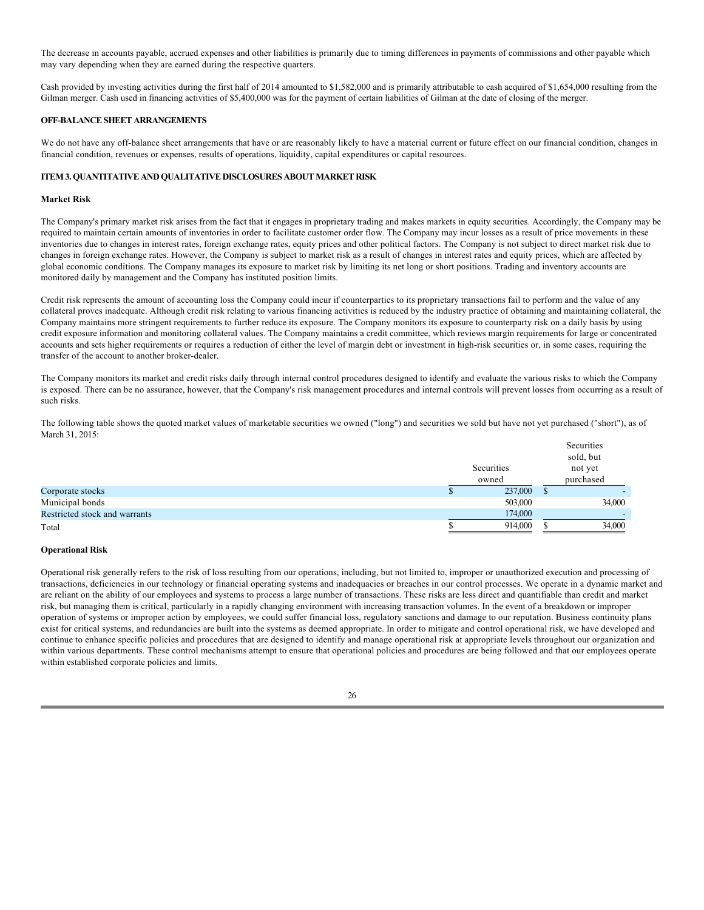The decrease in accounts payable, accrued expenses and other liabilities is primarily due to timing differences in payments of commissions and other payable which may vary depending when they are earned during the respective quarters.

Cash provided by investing activities during the first half of 2014 amounted to \$1,582,000 and is primarily attributable to cash acquired of \$1,654,000 resulting from the Gilman merger. Cash used in financing activities of \$5,400,000 was for the payment of certain liabilities of Gilman at the date of closing of the merger.

### **OFF-BALANCE SHEET ARRANGEMENTS**

We do not have any off-balance sheet arrangements that have or are reasonably likely to have a material current or future effect on our financial condition, changes in financial condition, revenues or expenses, results of operations, liquidity, capital expenditures or capital resources.

# **ITEM 3. QUANTITATIVE AND QUALITATIVE DISCLOSURES ABOUT MARKET RISK**

#### **Market Risk**

The Company's primary market risk arises from the fact that it engages in proprietary trading and makes markets in equity securities. Accordingly, the Company may be required to maintain certain amounts of inventories in order to facilitate customer order flow. The Company may incur losses as a result of price movements in these inventories due to changes in interest rates, foreign exchange rates, equity prices and other political factors. The Company is not subject to direct market risk due to changes in foreign exchange rates. However, the Company is subject to market risk as a result of changes in interest rates and equity prices, which are affected by global economic conditions. The Company manages its exposure to market risk by limiting its net long or short positions. Trading and inventory accounts are monitored daily by management and the Company has instituted position limits.

Credit risk represents the amount of accounting loss the Company could incur if counterparties to its proprietary transactions fail to perform and the value of any collateral proves inadequate. Although credit risk relating to various financing activities is reduced by the industry practice of obtaining and maintaining collateral, the Company maintains more stringent requirements to further reduce its exposure. The Company monitors its exposure to counterparty risk on a daily basis by using credit exposure information and monitoring collateral values. The Company maintains a credit committee, which reviews margin requirements for large or concentrated accounts and sets higher requirements or requires a reduction of either the level of margin debt or investment in high-risk securities or, in some cases, requiring the transfer of the account to another broker-dealer.

The Company monitors its market and credit risks daily through internal control procedures designed to identify and evaluate the various risks to which the Company is exposed. There can be no assurance, however, that the Company's risk management procedures and internal controls will prevent losses from occurring as a result of such risks.

The following table shows the quoted market values of marketable securities we owned ("long") and securities we sold but have not yet purchased ("short"), as of March 31, 2015:

|                               |            |  | Securities |  |
|-------------------------------|------------|--|------------|--|
|                               |            |  | sold, but  |  |
|                               | Securities |  | not yet    |  |
|                               | owned      |  | purchased  |  |
| Corporate stocks              | 237,000    |  |            |  |
| Municipal bonds               | 503,000    |  | 34,000     |  |
| Restricted stock and warrants | 174,000    |  |            |  |
| Total                         | 914,000    |  | 34,000     |  |

#### **Operational Risk**

Operational risk generally refers to the risk of loss resulting from our operations, including, but not limited to, improper or unauthorized execution and processing of transactions, deficiencies in our technology or financial operating systems and inadequacies or breaches in our control processes. We operate in a dynamic market and are reliant on the ability of our employees and systems to process a large number of transactions. These risks are less direct and quantifiable than credit and market risk, but managing them is critical, particularly in a rapidly changing environment with increasing transaction volumes. In the event of a breakdown or improper operation of systems or improper action by employees, we could suffer financial loss, regulatory sanctions and damage to our reputation. Business continuity plans exist for critical systems, and redundancies are built into the systems as deemed appropriate. In order to mitigate and control operational risk, we have developed and continue to enhance specific policies and procedures that are designed to identify and manage operational risk at appropriate levels throughout our organization and within various departments. These control mechanisms attempt to ensure that operational policies and procedures are being followed and that our employees operate within established corporate policies and limits.

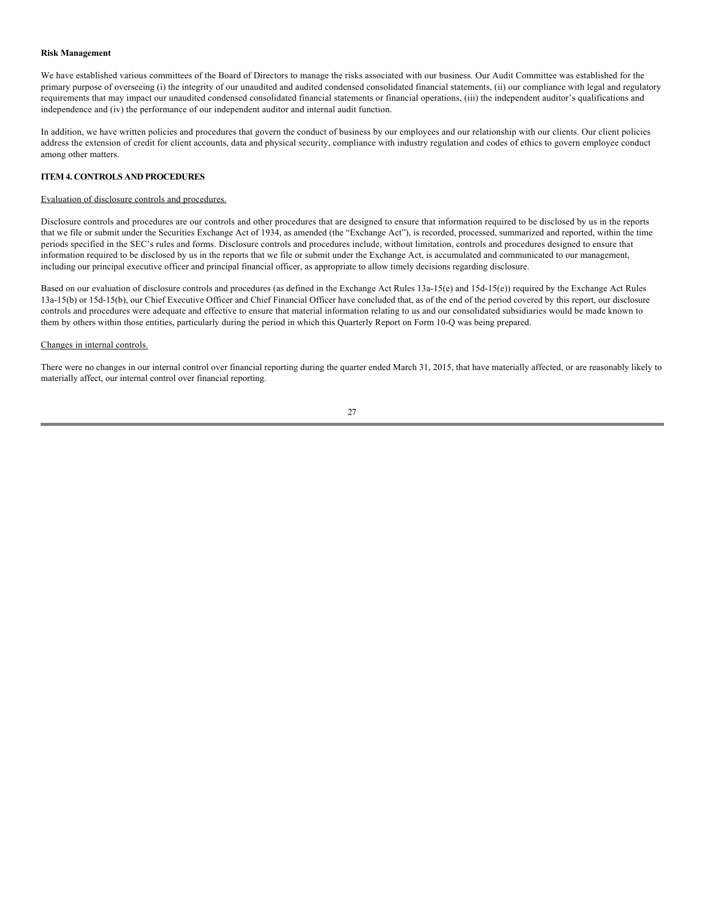#### **Risk Management**

We have established various committees of the Board of Directors to manage the risks associated with our business. Our Audit Committee was established for the primary purpose of overseeing (i) the integrity of our unaudited and audited condensed consolidated financial statements, (ii) our compliance with legal and regulatory requirements that may impact our unaudited condensed consolidated financial statements or financial operations, (iii) the independent auditor's qualifications and independence and (iv) the performance of our independent auditor and internal audit function.

In addition, we have written policies and procedures that govern the conduct of business by our employees and our relationship with our clients. Our client policies address the extension of credit for client accounts, data and physical security, compliance with industry regulation and codes of ethics to govern employee conduct among other matters.

# **ITEM 4. CONTROLS AND PROCEDURES**

#### Evaluation of disclosure controls and procedures.

Disclosure controls and procedures are our controls and other procedures that are designed to ensure that information required to be disclosed by us in the reports that we file or submit under the Securities Exchange Act of 1934, as amended (the "Exchange Act"), is recorded, processed, summarized and reported, within the time periods specified in the SEC's rules and forms. Disclosure controls and procedures include, without limitation, controls and procedures designed to ensure that information required to be disclosed by us in the reports that we file or submit under the Exchange Act, is accumulated and communicated to our management, including our principal executive officer and principal financial officer, as appropriate to allow timely decisions regarding disclosure.

Based on our evaluation of disclosure controls and procedures (as defined in the Exchange Act Rules 13a-15(e) and 15d-15(e)) required by the Exchange Act Rules 13a-15(b) or 15d-15(b), our Chief Executive Officer and Chief Financial Officer have concluded that, as of the end of the period covered by this report, our disclosure controls and procedures were adequate and effective to ensure that material information relating to us and our consolidated subsidiaries would be made known to them by others within those entities, particularly during the period in which this Quarterly Report on Form 10-Q was being prepared.

#### Changes in internal controls.

There were no changes in our internal control over financial reporting during the quarter ended March 31, 2015, that have materially affected, or are reasonably likely to materially affect, our internal control over financial reporting.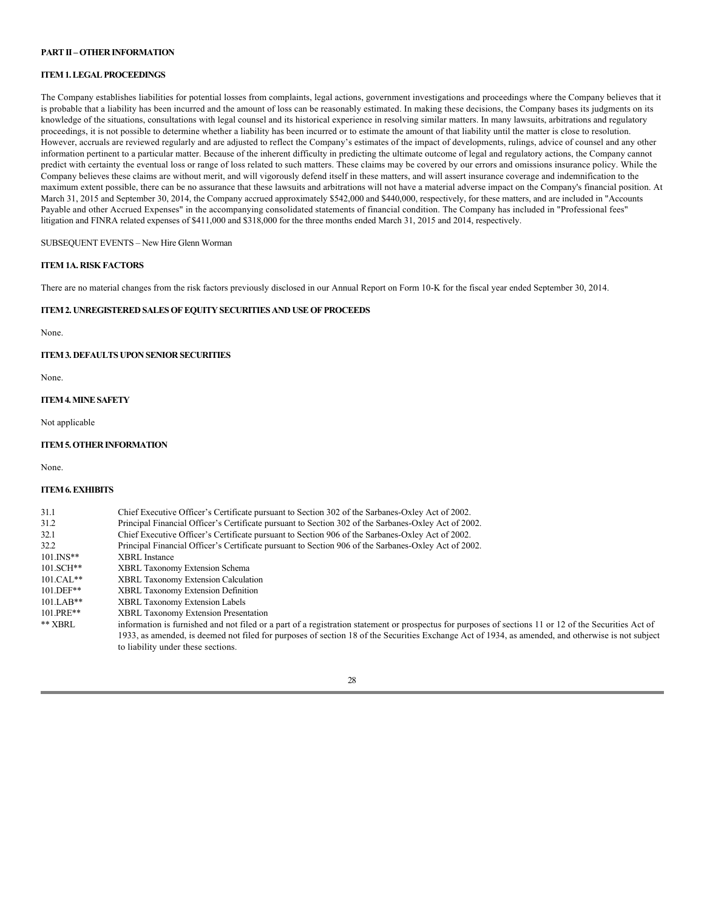# **PART II – OTHER INFORMATION**

#### **ITEM 1. LEGAL PROCEEDINGS**

The Company establishes liabilities for potential losses from complaints, legal actions, government investigations and proceedings where the Company believes that it is probable that a liability has been incurred and the amount of loss can be reasonably estimated. In making these decisions, the Company bases its judgments on its knowledge of the situations, consultations with legal counsel and its historical experience in resolving similar matters. In many lawsuits, arbitrations and regulatory proceedings, it is not possible to determine whether a liability has been incurred or to estimate the amount of that liability until the matter is close to resolution. However, accruals are reviewed regularly and are adjusted to reflect the Company's estimates of the impact of developments, rulings, advice of counsel and any other information pertinent to a particular matter. Because of the inherent difficulty in predicting the ultimate outcome of legal and regulatory actions, the Company cannot predict with certainty the eventual loss or range of loss related to such matters. These claims may be covered by our errors and omissions insurance policy. While the Company believes these claims are without merit, and will vigorously defend itself in these matters, and will assert insurance coverage and indemnification to the maximum extent possible, there can be no assurance that these lawsuits and arbitrations will not have a material adverse impact on the Company's financial position. At March 31, 2015 and September 30, 2014, the Company accrued approximately \$542,000 and \$440,000, respectively, for these matters, and are included in "Accounts Payable and other Accrued Expenses" in the accompanying consolidated statements of financial condition. The Company has included in "Professional fees" litigation and FINRA related expenses of \$411,000 and \$318,000 for the three months ended March 31, 2015 and 2014, respectively.

#### SUBSEQUENT EVENTS – New Hire Glenn Worman

# **ITEM 1A. RISK FACTORS**

There are no material changes from the risk factors previously disclosed in our Annual Report on Form 10-K for the fiscal year ended September 30, 2014.

### **ITEM 2. UNREGISTERED SALES OF EQUITY SECURITIES AND USE OF PROCEEDS**

None.

# **ITEM 3. DEFAULTS UPON SENIOR SECURITIES**

None.

### **ITEM 4. MINE SAFETY**

Not applicable

### **ITEM 5. OTHER INFORMATION**

None.

### **ITEM 6. EXHIBITS**

| 31.1         | Chief Executive Officer's Certificate pursuant to Section 302 of the Sarbanes-Oxley Act of 2002.                                                      |
|--------------|-------------------------------------------------------------------------------------------------------------------------------------------------------|
| 31.2         | Principal Financial Officer's Certificate pursuant to Section 302 of the Sarbanes-Oxley Act of 2002.                                                  |
| 32.1         | Chief Executive Officer's Certificate pursuant to Section 906 of the Sarbanes-Oxley Act of 2002.                                                      |
| 32.2         | Principal Financial Officer's Certificate pursuant to Section 906 of the Sarbanes-Oxley Act of 2002.                                                  |
| $101.$ INS** | <b>XBRL</b> Instance                                                                                                                                  |
| 101.SCH**    | <b>XBRL Taxonomy Extension Schema</b>                                                                                                                 |
| $101.CAL**$  | <b>XBRL Taxonomy Extension Calculation</b>                                                                                                            |
| 101.DEF**    | <b>XBRL Taxonomy Extension Definition</b>                                                                                                             |
| $101$ .LAB** | <b>XBRL Taxonomy Extension Labels</b>                                                                                                                 |
| 101.PRE**    | <b>XBRL Taxonomy Extension Presentation</b>                                                                                                           |
| ** XBRL      | information is furnished and not filed or a part of a registration statement or prospectus for purposes of sections 11 or 12 of the Securities Act of |
|              | 1933, as amended, is deemed not filed for purposes of section 18 of the Securities Exchange Act of 1934, as amended, and otherwise is not subject     |
|              | to liability under these sections.                                                                                                                    |

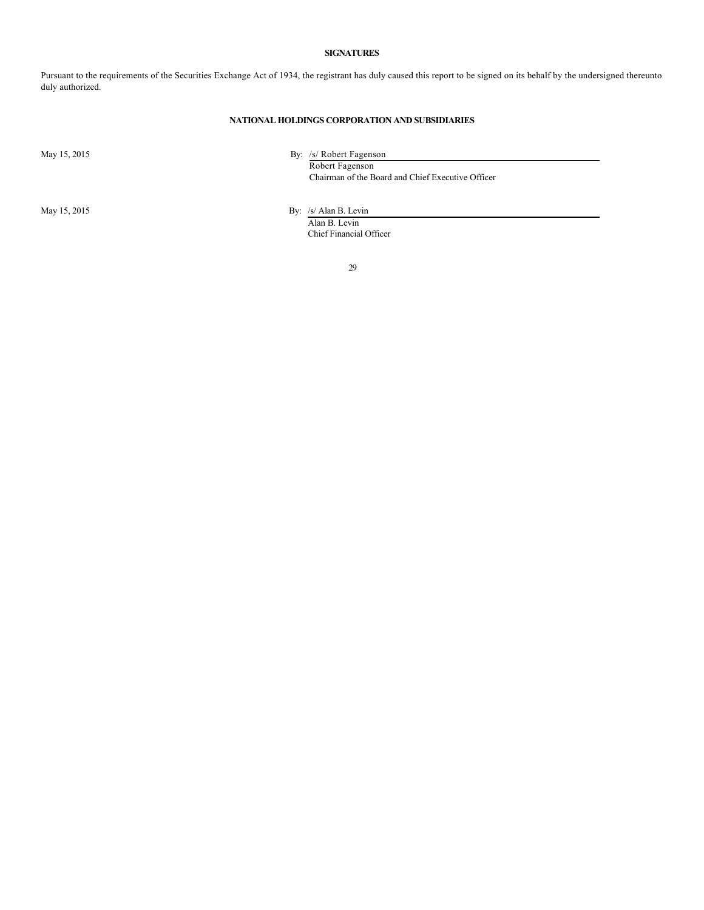# **SIGNATURES**

Pursuant to the requirements of the Securities Exchange Act of 1934, the registrant has duly caused this report to be signed on its behalf by the undersigned thereunto duly authorized.

# **NATIONAL HOLDINGS CORPORATION AND SUBSIDIARIES**

# May 15, 2015 By: /s/ Robert Fagenson

Robert Fagenson Chairman of the Board and Chief Executive Officer

May 15, 2015 By: /s/ Alan B. Levin

Alan B. Levin Chief Financial Officer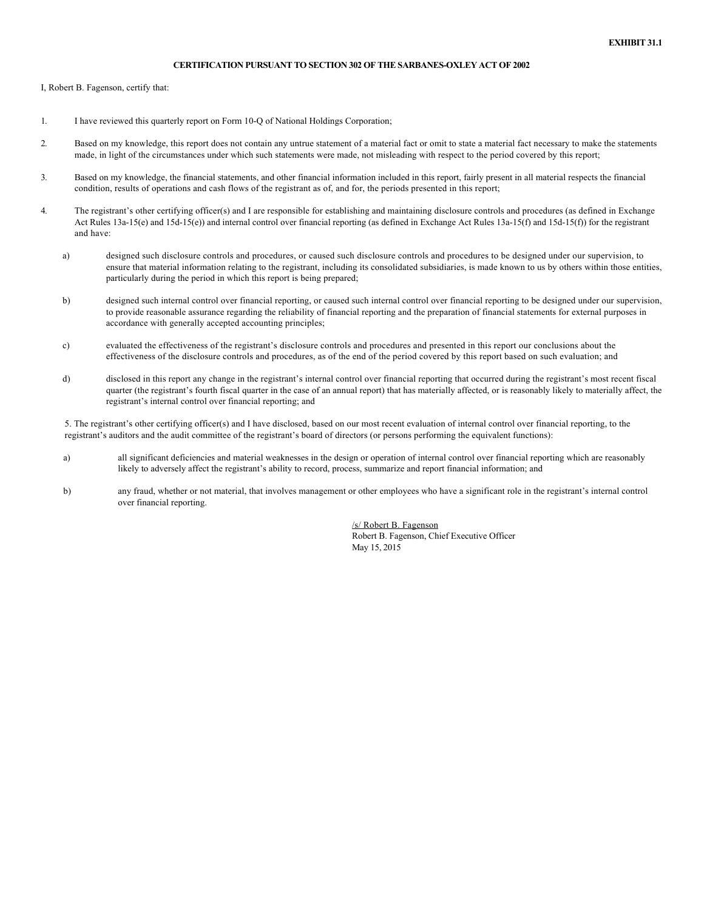# **CERTIFICATION PURSUANT TO SECTION 302 OF THE SARBANES-OXLEY ACT OF 2002**

I, Robert B. Fagenson, certify that:

- 1. I have reviewed this quarterly report on Form 10-Q of National Holdings Corporation;
- 2. Based on my knowledge, this report does not contain any untrue statement of a material fact or omit to state a material fact necessary to make the statements made, in light of the circumstances under which such statements were made, not misleading with respect to the period covered by this report;
- 3. Based on my knowledge, the financial statements, and other financial information included in this report, fairly present in all material respects the financial condition, results of operations and cash flows of the registrant as of, and for, the periods presented in this report;
- 4. The registrant's other certifying officer(s) and I are responsible for establishing and maintaining disclosure controls and procedures (as defined in Exchange Act Rules 13a-15(e) and 15d-15(e)) and internal control over financial reporting (as defined in Exchange Act Rules 13a-15(f) and 15d-15(f)) for the registrant and have:
	- a) designed such disclosure controls and procedures, or caused such disclosure controls and procedures to be designed under our supervision, to ensure that material information relating to the registrant, including its consolidated subsidiaries, is made known to us by others within those entities, particularly during the period in which this report is being prepared;
	- b) designed such internal control over financial reporting, or caused such internal control over financial reporting to be designed under our supervision, to provide reasonable assurance regarding the reliability of financial reporting and the preparation of financial statements for external purposes in accordance with generally accepted accounting principles;
	- c) evaluated the effectiveness of the registrant's disclosure controls and procedures and presented in this report our conclusions about the effectiveness of the disclosure controls and procedures, as of the end of the period covered by this report based on such evaluation; and
	- d) disclosed in this report any change in the registrant's internal control over financial reporting that occurred during the registrant's most recent fiscal quarter (the registrant's fourth fiscal quarter in the case of an annual report) that has materially affected, or is reasonably likely to materially affect, the registrant's internal control over financial reporting; and

5. The registrant's other certifying officer(s) and I have disclosed, based on our most recent evaluation of internal control over financial reporting, to the registrant's auditors and the audit committee of the registrant's board of directors (or persons performing the equivalent functions):

- a) all significant deficiencies and material weaknesses in the design or operation of internal control over financial reporting which are reasonably likely to adversely affect the registrant's ability to record, process, summarize and report financial information; and
- b) any fraud, whether or not material, that involves management or other employees who have a significant role in the registrant's internal control over financial reporting.

/s/ Robert B. Fagenson Robert B. Fagenson, Chief Executive Officer May 15, 2015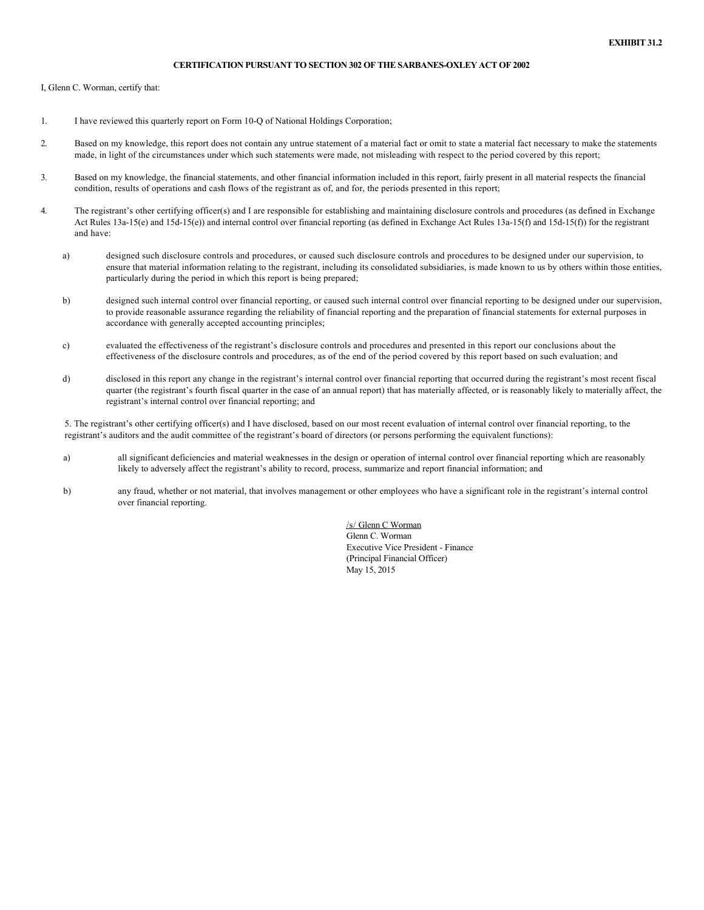# **CERTIFICATION PURSUANT TO SECTION 302 OF THE SARBANES-OXLEY ACT OF 2002**

I, Glenn C. Worman, certify that:

- 1. I have reviewed this quarterly report on Form 10-Q of National Holdings Corporation;
- 2. Based on my knowledge, this report does not contain any untrue statement of a material fact or omit to state a material fact necessary to make the statements made, in light of the circumstances under which such statements were made, not misleading with respect to the period covered by this report;
- 3. Based on my knowledge, the financial statements, and other financial information included in this report, fairly present in all material respects the financial condition, results of operations and cash flows of the registrant as of, and for, the periods presented in this report;
- 4. The registrant's other certifying officer(s) and I are responsible for establishing and maintaining disclosure controls and procedures (as defined in Exchange Act Rules 13a-15(e) and 15d-15(e)) and internal control over financial reporting (as defined in Exchange Act Rules 13a-15(f) and 15d-15(f)) for the registrant and have:
	- a) designed such disclosure controls and procedures, or caused such disclosure controls and procedures to be designed under our supervision, to ensure that material information relating to the registrant, including its consolidated subsidiaries, is made known to us by others within those entities, particularly during the period in which this report is being prepared;
	- b) designed such internal control over financial reporting, or caused such internal control over financial reporting to be designed under our supervision, to provide reasonable assurance regarding the reliability of financial reporting and the preparation of financial statements for external purposes in accordance with generally accepted accounting principles;
	- c) evaluated the effectiveness of the registrant's disclosure controls and procedures and presented in this report our conclusions about the effectiveness of the disclosure controls and procedures, as of the end of the period covered by this report based on such evaluation; and
	- d) disclosed in this report any change in the registrant's internal control over financial reporting that occurred during the registrant's most recent fiscal quarter (the registrant's fourth fiscal quarter in the case of an annual report) that has materially affected, or is reasonably likely to materially affect, the registrant's internal control over financial reporting; and

5. The registrant's other certifying officer(s) and I have disclosed, based on our most recent evaluation of internal control over financial reporting, to the registrant's auditors and the audit committee of the registrant's board of directors (or persons performing the equivalent functions):

- a) all significant deficiencies and material weaknesses in the design or operation of internal control over financial reporting which are reasonably likely to adversely affect the registrant's ability to record, process, summarize and report financial information; and
- b) any fraud, whether or not material, that involves management or other employees who have a significant role in the registrant's internal control over financial reporting.

/s/ Glenn C Worman Glenn C. Worman Executive Vice President - Finance (Principal Financial Officer) May 15, 2015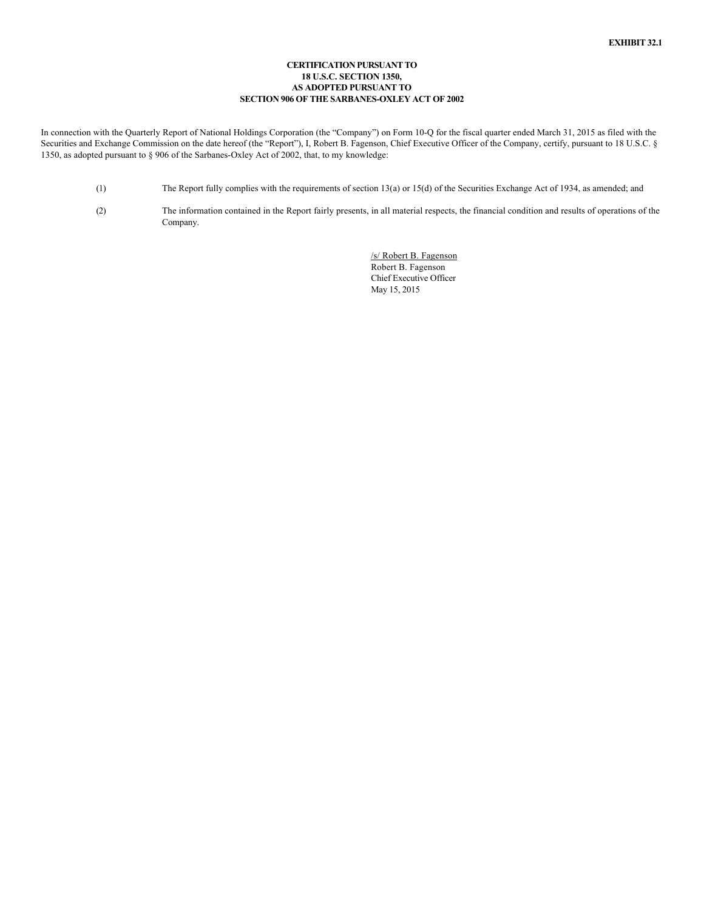# **CERTIFICATION PURSUANT TO 18 U.S.C. SECTION 1350, AS ADOPTED PURSUANT TO SECTION 906 OF THE SARBANES-OXLEY ACT OF 2002**

In connection with the Quarterly Report of National Holdings Corporation (the "Company") on Form 10-Q for the fiscal quarter ended March 31, 2015 as filed with the Securities and Exchange Commission on the date hereof (the "Report"), I, Robert B. Fagenson, Chief Executive Officer of the Company, certify, pursuant to 18 U.S.C. § 1350, as adopted pursuant to § 906 of the Sarbanes-Oxley Act of 2002, that, to my knowledge:

- (1) The Report fully complies with the requirements of section 13(a) or 15(d) of the Securities Exchange Act of 1934, as amended; and
- (2) The information contained in the Report fairly presents, in all material respects, the financial condition and results of operations of the Company.

/s/ Robert B. Fagenson Robert B. Fagenson Chief Executive Officer May 15, 2015